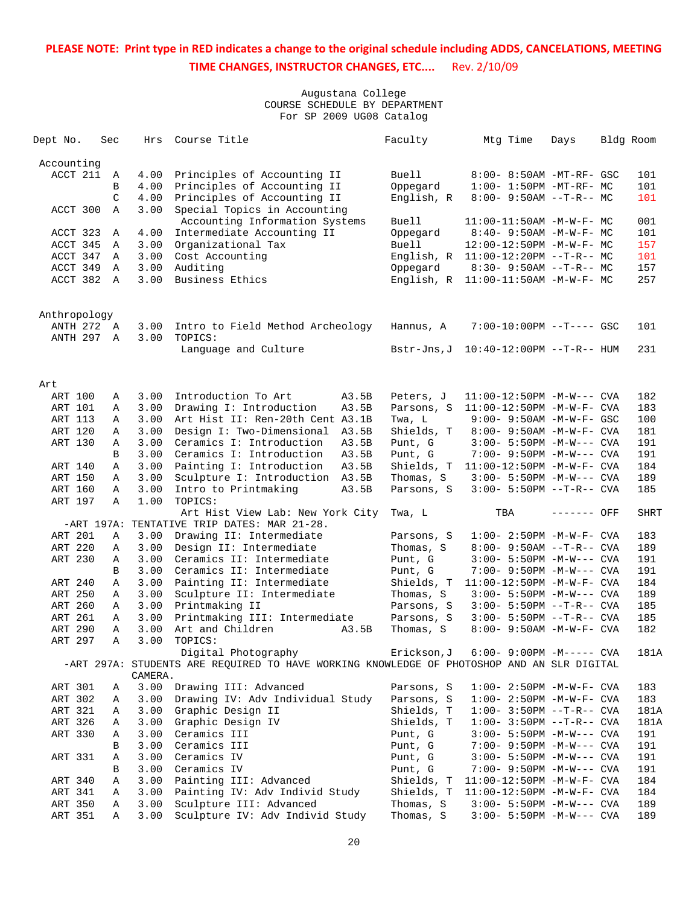| Dept No.           |              | Sec          | Hrs          | Course Title                                                                                                      |                | Faculty                 | Mtg Time                                                  | Days        | Bldg Room   |
|--------------------|--------------|--------------|--------------|-------------------------------------------------------------------------------------------------------------------|----------------|-------------------------|-----------------------------------------------------------|-------------|-------------|
| Accounting         |              |              |              |                                                                                                                   |                |                         |                                                           |             |             |
| ACCT 211           |              | Α            | 4.00         | Principles of Accounting II                                                                                       |                | Buell                   | 8:00- 8:50AM -MT-RF- GSC                                  |             | 101         |
|                    |              | В            | 4.00         | Principles of Accounting II                                                                                       |                | Oppegard                | $1:00-1:50PM -MT-RF-MC$                                   |             | 101         |
|                    |              | C            | 4.00         | Principles of Accounting II                                                                                       |                | English, R              | $8:00 - 9:50AM -T-R-- MC$                                 |             | 101         |
| ACCT 300           |              | Α            | 3.00         | Special Topics in Accounting                                                                                      |                |                         |                                                           |             |             |
|                    |              |              |              | Accounting Information Systems                                                                                    |                | Buell                   | $11:00-11:50AM$ -M-W-F- MC                                |             | 001         |
| ACCT 323           |              | Α            | 4.00         | Intermediate Accounting II                                                                                        |                | Oppegard                | $8:40-9:50AM -M-W-F-MC$                                   |             | 101         |
| ACCT 345           |              | Α            | 3.00         | Organizational Tax                                                                                                |                | <b>Buell</b>            | 12:00-12:50PM -M-W-F- MC                                  |             | 157         |
| ACCT 347           |              | Α            | 3.00         | Cost Accounting                                                                                                   |                | English, R              | $11:00-12:20PM$ --T-R-- MC                                |             | 101         |
| ACCT 349           |              | A            | 3.00         | Auditing                                                                                                          |                | Oppegard                | $8:30 - 9:50AM -T-R-- MC$                                 |             | 157         |
| ACCT 382           |              | A            | 3.00         | Business Ethics                                                                                                   |                | English, R              | 11:00-11:50AM -M-W-F- MC                                  |             | 257         |
| Anthropology       |              |              |              |                                                                                                                   |                |                         |                                                           |             |             |
| ANTH 272 A         |              |              | 3.00         | Intro to Field Method Archeology                                                                                  |                | Hannus, A               | $7:00-10:00PM$ --T---- GSC                                |             | 101         |
| ANTH 297           |              | $\mathbb{A}$ | 3.00         | TOPICS:                                                                                                           |                |                         |                                                           |             |             |
|                    |              |              |              | Language and Culture                                                                                              |                | Bstr-Jns,J              | $10:40-12:00PM$ --T-R-- HUM                               |             | 231         |
|                    |              |              |              |                                                                                                                   |                |                         |                                                           |             |             |
| Art                |              |              |              |                                                                                                                   |                |                         |                                                           |             |             |
| ART 100            |              | Α            | 3.00         | Introduction To Art                                                                                               | A3.5B          | Peters, J               | $11:00-12:50PM -M-W---$ CVA                               |             | 182         |
| ART 101            |              | A            | 3.00         | Drawing I: Introduction                                                                                           | A3.5B          | Parsons, S              | 11:00-12:50PM -M-W-F- CVA                                 |             | 183         |
| <b>ART 113</b>     |              | Α            | 3.00         | Art Hist II: Ren-20th Cent A3.1B                                                                                  |                | Twa, L                  | $9:00 - 9:50AM - M - W - F - GSC$                         |             | 100         |
| ART 120            |              | Α            | 3.00<br>3.00 | Design I: Two-Dimensional<br>Ceramics I: Introduction                                                             | A3.5B          | Shields, T<br>Punt, G   | 8:00- 9:50AM -M-W-F- CVA                                  |             | 181<br>191  |
| ART 130            |              | Α<br>B       | 3.00         | Ceramics I: Introduction                                                                                          | A3.5B          |                         | $3:00 - 5:50PM -M-W---$ CVA                               |             | 191         |
|                    |              |              |              |                                                                                                                   | A3.5B          | Punt, G                 | 7:00- 9:50PM -M-W--- CVA                                  |             |             |
| ART 140<br>ART 150 |              | Α<br>Α       | 3.00<br>3.00 | Painting I: Introduction<br>Sculpture I: Introduction                                                             | A3.5B<br>A3.5B | Shields, T              | $11:00-12:50PM -M-W-F-CVA$<br>$3:00 - 5:50PM -M-W---$ CVA |             | 184<br>189  |
| ART 160            |              | Α            | 3.00         | Intro to Printmaking                                                                                              | A3.5B          | Thomas, S<br>Parsons, S | $3:00 - 5:50PM -T-R--CVA$                                 |             | 185         |
| ART 197            |              | Α            | 1.00         | TOPICS:                                                                                                           |                |                         |                                                           |             |             |
|                    | $-ART$ 197A: |              |              | Art Hist View Lab: New York City<br>TENTATIVE TRIP DATES: MAR 21-28.                                              |                | Twa, L                  | TBA                                                       | ------- OFF | <b>SHRT</b> |
| ART 201            |              | Α            | 3.00         | Drawing II: Intermediate                                                                                          |                | Parsons, S              | $1:00 - 2:50PM -M-W-F - CVA$                              |             | 183         |
| ART 220            |              | Α            | 3.00         | Design II: Intermediate                                                                                           |                | Thomas, S               | 8:00- 9:50AM --T-R-- CVA                                  |             | 189         |
| ART 230            |              | Α            | 3.00         | Ceramics II: Intermediate                                                                                         |                | Punt, G                 | $3:00 - 5:50PM -M-W---$ CVA                               |             | 191         |
|                    |              | B            | 3.00         | Ceramics II: Intermediate                                                                                         |                | Punt, G                 | 7:00- 9:50PM -M-W--- CVA                                  |             | 191         |
| ART 240            |              | Α            | 3.00         | Painting II: Intermediate                                                                                         |                | Shields, T              | 11:00-12:50PM -M-W-F- CVA                                 |             | 184         |
| ART 250            |              | Α            | 3.00         | Sculpture II: Intermediate                                                                                        |                | Thomas, S               | $3:00 - 5:50PM -M-W---$ CVA                               |             | 189         |
| ART 260            |              | Α            | 3.00         | Printmaking II                                                                                                    |                | Parsons, S              | $3:00 - 5:50PM -T-R--CVA$                                 |             | 185         |
| ART 261            |              | Α            | 3.00         | Printmaking III: Intermediate                                                                                     |                | Parsons, S              | $3:00 - 5:50PM -T-R--CVA$                                 |             | 185         |
| ART 290            |              | Α            | 3.00         | Art and Children                                                                                                  | A3.5B          | Thomas, S               | 8:00- 9:50AM -M-W-F- CVA                                  |             | 182         |
| ART 297            |              | Α            | 3.00         | TOPICS:                                                                                                           |                |                         |                                                           |             |             |
|                    |              |              |              | Digital Photography<br>-ART 297A: STUDENTS ARE REQUIRED TO HAVE WORKING KNOWLEDGE OF PHOTOSHOP AND AN SLR DIGITAL |                | Erickson, J             | $6:00 - 9:00PM -M---$ CVA                                 |             | 181A        |
|                    |              |              | CAMERA.      |                                                                                                                   |                |                         |                                                           |             |             |
| ART 301            |              | Α            | 3.00         | Drawing III: Advanced                                                                                             |                | Parsons, S              | $1:00-2:50PM -M-W-F-CVA$                                  |             | 183         |
| ART 302            |              | Α            | 3.00         | Drawing IV: Adv Individual Study                                                                                  |                | Parsons, S              | $1:00 - 2:50PM -M-W-F-CVA$                                |             | 183         |
| ART 321            |              | Α            | 3.00         | Graphic Design II                                                                                                 |                | Shields, T              | $1:00-3:50PM -T-R--CVA$                                   |             | 181A        |
| ART 326            |              | Α            | 3.00         | Graphic Design IV                                                                                                 |                | Shields, T              | $1:00-3:50PM -T-R--CVA$                                   |             | 181A        |
| ART 330            |              | Α            | 3.00         | Ceramics III                                                                                                      |                | Punt, G                 | 3:00- 5:50PM -M-W--- CVA                                  |             | 191         |
|                    |              | В            | 3.00         | Ceramics III                                                                                                      |                | Punt, G                 | 7:00- 9:50PM -M-W--- CVA                                  |             | 191         |
| ART 331            |              | Α            | 3.00         | Ceramics IV                                                                                                       |                | Punt, G                 | 3:00- 5:50PM -M-W--- CVA                                  |             | 191         |
|                    |              | В            | 3.00         | Ceramics IV                                                                                                       |                | Punt, G                 | 7:00- 9:50PM -M-W--- CVA                                  |             | 191         |
| ART 340            |              | Α            | 3.00         | Painting III: Advanced                                                                                            |                | Shields, T              | $11:00-12:50PM$ -M-W-F- CVA                               |             | 184         |
| ART 341            |              | Α            | 3.00         | Painting IV: Adv Individ Study                                                                                    |                | Shields, T              | $11:00-12:50PM -M-W-F-CVA$                                |             | 184         |
| ART 350            |              | Α            | 3.00         | Sculpture III: Advanced                                                                                           |                | Thomas, S               | $3:00 - 5:50PM -M-W---$ CVA                               |             | 189         |
| ART 351            |              | Α            | 3.00         | Sculpture IV: Adv Individ Study                                                                                   |                | Thomas, S               | $3:00 - 5:50PM -M-W---$ CVA                               |             | 189         |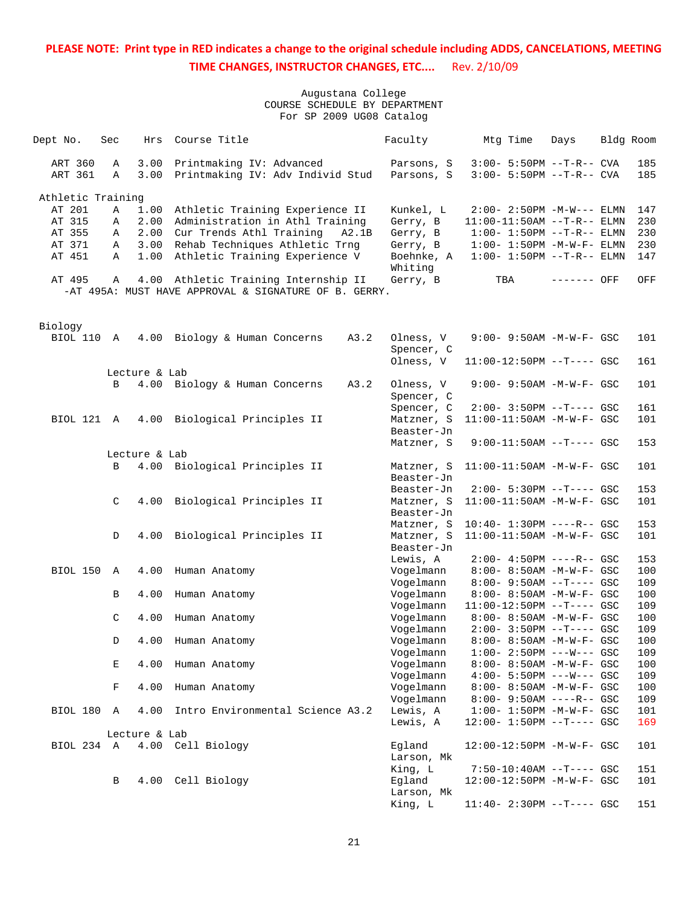| Dept No.          | Sec         | Hrs           | Course Title                                          | Faculty               | Mtg Time                          | Days        | Bldg Room |     |
|-------------------|-------------|---------------|-------------------------------------------------------|-----------------------|-----------------------------------|-------------|-----------|-----|
| ART 360           | Α           |               | 3.00 Printmaking IV: Advanced                         | Parsons, S            | $3:00 - 5:50PM -T-R--CVA$         |             |           | 185 |
| ART 361           | Α           | 3.00          | Printmaking IV: Adv Individ Stud                      | Parsons, S            | $3:00 - 5:50PM -T-R--$ CVA        |             |           | 185 |
| Athletic Training |             |               |                                                       |                       |                                   |             |           |     |
| AT 201            | Α           | 1.00          | Athletic Training Experience II                       | Kunkel, L             | $2:00 - 2:50PM -M-W---$ ELMN      |             |           | 147 |
| AT 315            | Α           | 2.00          | Administration in Athl Training                       | Gerry, B              | $11:00-11:50AM$ --T-R-- ELMN      |             |           | 230 |
| AT 355            | Α           | 2.00          | Cur Trends Athl Training<br>A2.1B                     | Gerry, B              | $1:00 - 1:50PM -T-R-- ELMN$       |             |           | 230 |
| AT 371            | Α           | 3.00          | Rehab Techniques Athletic Trng                        | Gerry, B              | $1:00-1:50PM -M-W-F-ELMN$         |             |           | 230 |
| AT 451            | Α           | 1.00          | Athletic Training Experience V                        | Boehnke, A<br>Whiting | $1:00 - 1:50PM -T-R-- ELMN$       |             |           | 147 |
| AT 495            | Α           |               | 4.00 Athletic Training Internship II                  | Gerry, B              | TBA                               | ------- OFF |           | OFF |
|                   |             |               | -AT 495A: MUST HAVE APPROVAL & SIGNATURE OF B. GERRY. |                       |                                   |             |           |     |
|                   |             |               |                                                       |                       |                                   |             |           |     |
| Biology           |             |               |                                                       |                       |                                   |             |           |     |
| BIOL 110 A        |             |               | 4.00 Biology & Human Concerns<br>A3.2                 | Olness, V             | 9:00- 9:50AM -M-W-F- GSC          |             |           | 101 |
|                   |             |               |                                                       | Spencer, C            |                                   |             |           |     |
|                   |             |               |                                                       | Olness, V             | $11:00-12:50PM$ --T---- GSC       |             |           | 161 |
|                   |             | Lecture & Lab |                                                       |                       |                                   |             |           |     |
|                   | B           |               | A3.2<br>4.00 Biology & Human Concerns                 | Olness, V             | $9:00 - 9:50AM - M - W - F - GSC$ |             |           | 101 |
|                   |             |               |                                                       | Spencer, C            |                                   |             |           |     |
|                   |             |               |                                                       | Spencer, C            | $2:00-3:50PM$ --T---- GSC         |             |           | 161 |
| BIOL 121 A        |             |               | 4.00 Biological Principles II                         | Matzner, S            | 11:00-11:50AM -M-W-F- GSC         |             |           | 101 |
|                   |             |               |                                                       | Beaster-Jn            |                                   |             |           |     |
|                   |             |               |                                                       | Matzner, S            | $9:00-11:50AM$ --T---- GSC        |             |           | 153 |
|                   |             | Lecture & Lab |                                                       |                       |                                   |             |           |     |
|                   | B           |               | 4.00 Biological Principles II                         | Matzner, S            | 11:00-11:50AM -M-W-F- GSC         |             |           | 101 |
|                   |             |               |                                                       | Beaster-Jn            |                                   |             |           |     |
|                   |             |               |                                                       | Beaster-Jn            | $2:00 - 5:30PM -T--- GSC$         |             |           | 153 |
|                   | C           |               | 4.00 Biological Principles II                         | Matzner, S            | 11:00-11:50AM -M-W-F- GSC         |             |           | 101 |
|                   |             |               |                                                       | Beaster-Jn            |                                   |             |           |     |
|                   |             |               |                                                       | Matzner, S            | 10:40- 1:30PM ----R-- GSC         |             |           | 153 |
|                   | D           | 4.00          | Biological Principles II                              | Matzner, S            | 11:00-11:50AM -M-W-F- GSC         |             |           | 101 |
|                   |             |               |                                                       | Beaster-Jn            |                                   |             |           |     |
|                   |             |               |                                                       | Lewis, A              | $2:00-4:50PM$ ----R-- GSC         |             |           | 153 |
| BIOL 150 A        |             | 4.00          | Human Anatomy                                         | Vogelmann             | 8:00- 8:50AM -M-W-F- GSC          |             |           | 100 |
|                   |             |               |                                                       | Vogelmann             | $8:00 - 9:50AM -T--- GSC$         |             |           | 109 |
|                   | B           | 4.00          | Human Anatomy                                         | Vogelmann             | 8:00- 8:50AM -M-W-F- GSC          |             |           | 100 |
|                   |             |               |                                                       | Vogelmann             | $11:00-12:50PM$ --T---- GSC       |             |           | 109 |
|                   | C           | 4.00          | Human Anatomy                                         | Vogelmann             | $8:00 - 8:50AM - M - W - F - GSC$ |             |           | 100 |
|                   |             |               |                                                       | Vogelmann             | $2:00-3:50PM -T---GSC$            |             |           | 109 |
|                   | D           | 4.00          | Human Anatomy                                         | Vogelmann             | 8:00- 8:50AM -M-W-F- GSC          |             |           | 100 |
|                   |             |               |                                                       | Vogelmann             | $1:00-2:50PM$ ---W--- GSC         |             |           | 109 |
|                   | Е           | 4.00          | Human Anatomy                                         | Vogelmann             | 8:00- 8:50AM -M-W-F- GSC          |             |           | 100 |
|                   |             |               |                                                       | Vogelmann             | $4:00 - 5:50PM$ ---W--- GSC       |             |           | 109 |
|                   | $\mathbf F$ | 4.00          | Human Anatomy                                         | Vogelmann             | 8:00- 8:50AM -M-W-F- GSC          |             |           | 100 |
|                   |             |               |                                                       | Vogelmann             | $8:00 - 9:50AM$ ----R-- GSC       |             |           | 109 |
| BIOL 180          | A           | 4.00          | Intro Environmental Science A3.2                      | Lewis, A              | $1:00 - 1:50PM - M - W - F - GSC$ |             |           | 101 |
|                   |             |               |                                                       | Lewis, A              | 12:00- 1:50PM --T---- GSC         |             |           | 169 |
|                   |             | Lecture & Lab |                                                       |                       |                                   |             |           |     |
| BIOL 234 A        |             |               | 4.00 Cell Biology                                     | Eqland                | 12:00-12:50PM -M-W-F- GSC         |             |           | 101 |
|                   |             |               |                                                       | Larson, Mk            |                                   |             |           |     |
|                   |             |               |                                                       | King, L               | $7:50-10:40AM$ --T---- GSC        |             |           | 151 |
|                   | B           | 4.00          | Cell Biology                                          | Egland                | 12:00-12:50PM -M-W-F- GSC         |             |           | 101 |
|                   |             |               |                                                       | Larson, Mk            |                                   |             |           |     |
|                   |             |               |                                                       | King, L               | 11:40- 2:30PM --T---- GSC         |             |           | 151 |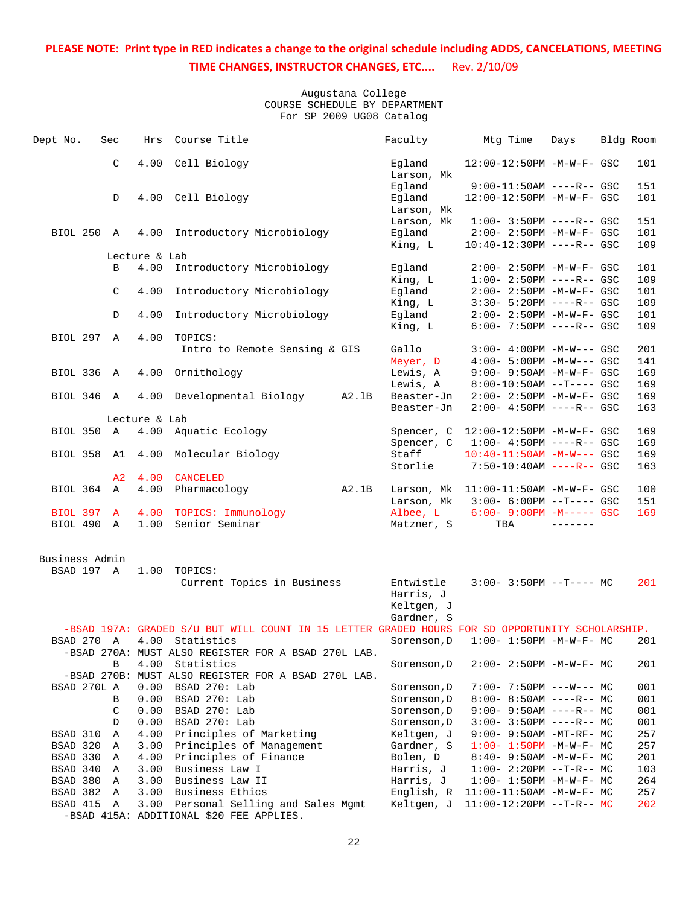Augustana College COURSE SCHEDULE BY DEPARTMENT For SP 2009 UG08 Catalog

| Dept No.                     | Sec    | Hrs           | Course Title                                                                                    |       | Faculty                    | Mtg Time                                                         | Days | Bldg Room |            |
|------------------------------|--------|---------------|-------------------------------------------------------------------------------------------------|-------|----------------------------|------------------------------------------------------------------|------|-----------|------------|
|                              | C      |               | 4.00 Cell Biology                                                                               |       | Eqland<br>Larson, Mk       | 12:00-12:50PM -M-W-F- GSC                                        |      |           | 101        |
|                              |        |               |                                                                                                 |       | Eqland                     | $9:00-11:50AM$ ----R-- GSC                                       |      |           | 151        |
|                              | D      |               | 4.00 Cell Biology                                                                               |       | Eqland                     | 12:00-12:50PM -M-W-F- GSC                                        |      |           | 101        |
|                              |        |               |                                                                                                 |       | Larson, Mk                 |                                                                  |      |           |            |
|                              |        |               |                                                                                                 |       | Larson, Mk                 | $1:00-3:50PM$ ----R-- GSC                                        |      |           | 151        |
| BIOL 250 A                   |        | 4.00          | Introductory Microbiology                                                                       |       | Eqland                     | 2:00- 2:50PM -M-W-F- GSC                                         |      |           | 101        |
|                              |        | Lecture & Lab |                                                                                                 |       | King, L                    | 10:40-12:30PM ----R-- GSC                                        |      |           | 109        |
|                              | B      | 4.00          | Introductory Microbiology                                                                       |       | Egland                     | $2:00 - 2:50PM -M-W-F - GSC$                                     |      |           | 101        |
|                              |        |               |                                                                                                 |       | King, L                    | $1:00-2:50PM$ ----R-- GSC                                        |      |           | 109        |
|                              | C      | 4.00          | Introductory Microbiology                                                                       |       | Eqland                     | 2:00- 2:50PM -M-W-F- GSC                                         |      |           | 101        |
|                              |        |               |                                                                                                 |       | King, L                    | $3:30 - 5:20PM$ ----R-- GSC                                      |      |           | 109        |
|                              | D      | 4.00          | Introductory Microbiology                                                                       |       | Egland                     | $2:00 - 2:50PM - M - W - F - GSC$                                |      |           | 101        |
|                              |        |               |                                                                                                 |       | King, L                    | $6:00 - 7:50PM$ ----R-- GSC                                      |      |           | 109        |
| BIOL 297 A                   |        | 4.00          | TOPICS:                                                                                         |       |                            |                                                                  |      |           |            |
|                              |        |               | Intro to Remote Sensing & GIS                                                                   |       | Gallo                      | $3:00 - 4:00PM -M-W---$ GSC                                      |      |           | 201        |
|                              |        |               |                                                                                                 |       | Meyer, D                   | $4:00 - 5:00PM -M-W--- GSC$                                      |      |           | 141        |
| BIOL 336 A                   |        | 4.00          | Ornithology                                                                                     |       | Lewis, A                   | 9:00- 9:50AM -M-W-F- GSC                                         |      |           | 169        |
|                              |        |               |                                                                                                 |       | Lewis, A                   | $8:00-10:50AM$ --T---- GSC                                       |      |           | 169        |
| BIOL 346 A                   |        |               | 4.00 Developmental Biology                                                                      | A2.1B | Beaster-Jn<br>Beaster-Jn   | $2:00 - 2:50PM - M - W - F - GSC$<br>$2:00 - 4:50PM$ ----R-- GSC |      |           | 169<br>163 |
|                              |        | Lecture & Lab |                                                                                                 |       |                            |                                                                  |      |           |            |
| BIOL 350 A                   |        |               | 4.00 Aquatic Ecology                                                                            |       |                            | Spencer, C 12:00-12:50PM -M-W-F- GSC                             |      |           | 169        |
|                              |        |               |                                                                                                 |       | Spencer, C                 | $1:00-4:50PM$ ----R-- GSC                                        |      |           | 169        |
| BIOL 358 A1                  |        | 4.00          | Molecular Biology                                                                               |       | Staff                      | $10:40-11:50AM$ -M-W--- GSC                                      |      |           | 169        |
|                              |        |               |                                                                                                 |       | Storlie                    | $7:50-10:40AM$ ----R-- GSC                                       |      |           | 163        |
|                              |        |               | A2 4.00 CANCELED                                                                                |       |                            |                                                                  |      |           |            |
| BIOL 364 A                   |        |               | 4.00 Pharmacology                                                                               | A2.1B |                            | Larson, Mk 11:00-11:50AM -M-W-F- GSC                             |      |           | 100        |
|                              |        |               |                                                                                                 |       | Larson, Mk                 | $3:00-6:00PM$ --T---- GSC                                        |      |           | 151        |
| BIOL 397 A                   |        |               | 4.00 TOPICS: Immunology                                                                         |       | Albee, L                   | $6:00 - 9:00PM -M--- GSC$                                        |      |           | 169        |
| BIOL 490 A                   |        | 1.00          | Senior Seminar                                                                                  |       | Matzner, S                 | TBA                                                              |      |           |            |
|                              |        |               |                                                                                                 |       |                            |                                                                  |      |           |            |
| Business Admin<br>BSAD 197 A |        | 1.00          | TOPICS:                                                                                         |       |                            |                                                                  |      |           |            |
|                              |        |               | Current Topics in Business                                                                      |       | Entwistle                  | $3:00-3:50PM -T--- MC$                                           |      |           | 201        |
|                              |        |               |                                                                                                 |       | Harris, J                  |                                                                  |      |           |            |
|                              |        |               |                                                                                                 |       | Keltgen, J                 |                                                                  |      |           |            |
|                              |        |               |                                                                                                 |       | Gardner, S                 |                                                                  |      |           |            |
|                              |        |               | -BSAD 197A: GRADED S/U BUT WILL COUNT IN 15 LETTER GRADED HOURS FOR SD OPPORTUNITY SCHOLARSHIP. |       |                            |                                                                  |      |           |            |
|                              |        |               | BSAD 270 A 4.00 Statistics                                                                      |       |                            | Sorenson, D 1:00- 1:50PM -M-W-F- MC                              |      |           | 201        |
|                              |        |               | -BSAD 270A: MUST ALSO REGISTER FOR A BSAD 270L LAB.                                             |       |                            |                                                                  |      |           |            |
|                              | B      |               | 4.00 Statistics                                                                                 |       | Sorenson, D                | $2:00 - 2:50PM -M-W-F - MC$                                      |      |           | 201        |
|                              |        |               | -BSAD 270B: MUST ALSO REGISTER FOR A BSAD 270L LAB.                                             |       |                            |                                                                  |      |           |            |
| BSAD 270L A                  |        | 0.00          | BSAD 270: Lab                                                                                   |       | Sorenson, D                | $7:00 - 7:50PM$ ---W--- MC                                       |      |           | 001        |
|                              | В      | 0.00          | BSAD 270: Lab<br>BSAD 270: Lab                                                                  |       | Sorenson, D                | $8:00 - 8:50AM$ ----R-- MC<br>$9:00 - 9:50AM$ ----R-- MC         |      |           | 001        |
|                              | C<br>D | 0.00<br>0.00  | BSAD 270: Lab                                                                                   |       | Sorenson, D<br>Sorenson, D | $3:00 - 3:50PM$ ----R-- MC                                       |      |           | 001<br>001 |
| BSAD 310                     | Α      | 4.00          | Principles of Marketing                                                                         |       | Keltgen, J                 | 9:00- 9:50AM -MT-RF- MC                                          |      |           | 257        |
| BSAD 320                     | Α      | 3.00          | Principles of Management                                                                        |       | Gardner, S                 | $1:00 - 1:50PM - M - W - F - MC$                                 |      |           | 257        |
| BSAD 330                     | Α      | 4.00          | Principles of Finance                                                                           |       | Bolen, D                   | $8:40 - 9:50AM$ -M-W-F- MC                                       |      |           | 201        |
| BSAD 340                     | Α      | 3.00          | Business Law I                                                                                  |       | Harris, J                  | $1:00-2:20PM -T-R--MC$                                           |      |           | 103        |
| BSAD 380                     | Α      | 3.00          | Business Law II                                                                                 |       | Harris, J                  | $1:00 - 1:50PM - M - W - F - MC$                                 |      |           | 264        |
| BSAD 382 A                   |        | 3.00          | Business Ethics                                                                                 |       | English, R                 | $11:00-11:50AM$ -M-W-F- MC                                       |      |           | 257        |
| BSAD 415 A                   |        | 3.00          | Personal Selling and Sales Mgmt                                                                 |       | Keltgen, J                 | $11:00-12:20PM$ --T-R-- MC                                       |      |           | 202        |

-BSAD 415A: ADDITIONAL \$20 FEE APPLIES.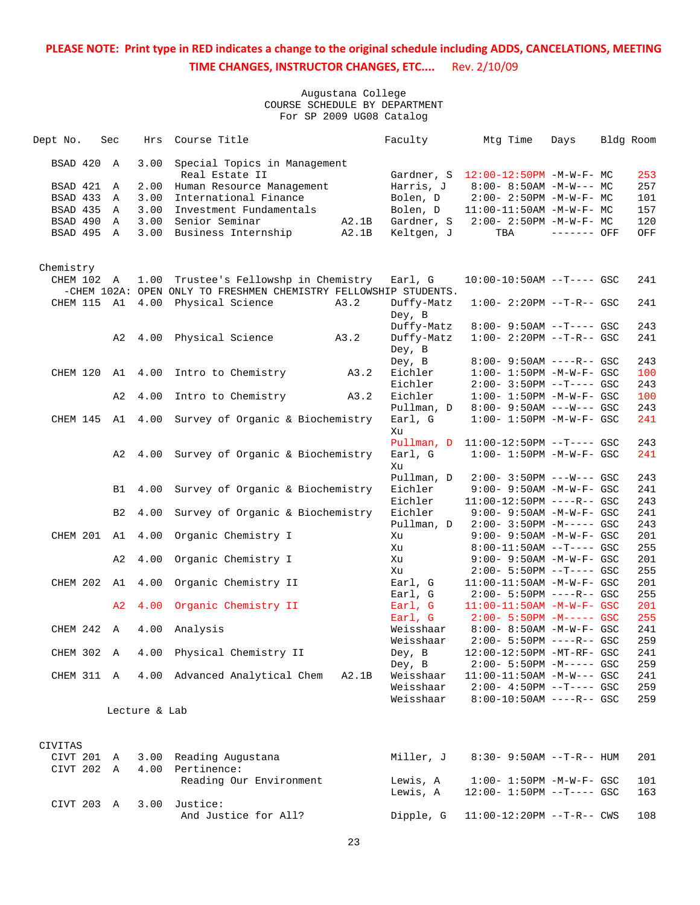| BSAD 420 A<br>3.00<br>Special Topics in Management<br>Real Estate II<br>Gardner, S 12:00-12:50PM -M-W-F- MC   |             | 253 |
|---------------------------------------------------------------------------------------------------------------|-------------|-----|
| BSAD 421<br>2.00<br>Harris, J<br>$8:00-8:50AM -M-W--- MC$<br>Α<br>Human Resource Management                   |             | 257 |
| BSAD 433<br>3.00<br>International Finance<br>Bolen, D<br>$2:00-2:50PM -M-W-F-MC$<br>Α                         |             | 101 |
| BSAD 435<br>3.00<br>Investment Fundamentals<br>Bolen, D<br>A<br>$11:00-11:50AM$ -M-W-F- MC                    |             | 157 |
| BSAD 490<br>$\overline{A}$<br>3.00<br>Senior Seminar<br>A2.1B<br>Gardner, S<br>$2:00 - 2:50PM -M-W-F - MC$    |             | 120 |
| BSAD 495 A<br>3.00<br>Business Internship<br>A2.1B<br>Keltgen, J<br>TBA                                       | ------- OFF | OFF |
| Chemistry                                                                                                     |             |     |
| CHEM 102 A<br>1.00<br>Trustee's Fellowshp in Chemistry<br>Earl, G<br>$10:00-10:50AM$ --T---- GSC              |             | 241 |
| -CHEM 102A: OPEN ONLY TO FRESHMEN CHEMISTRY FELLOWSHIP STUDENTS.                                              |             |     |
| 4.00<br>Physical Science<br>CHEM 115 A1<br>A3.2<br>Duffy-Matz<br>$1:00 - 2:20PM -T-R--$ GSC                   |             | 241 |
| Dey, B                                                                                                        |             |     |
| $8:00 - 9:50AM -T---$ GSC<br>Duffy-Matz                                                                       |             | 243 |
| Physical Science<br>A3.2<br>A2<br>4.00<br>Duffy-Matz<br>$1:00 - 2:20PM -T-R--$ GSC                            |             | 241 |
| Dey, B                                                                                                        |             |     |
| Dey, B<br>$8:00 - 9:50AM$ ----R-- GSC                                                                         |             | 243 |
| 4.00<br>Intro to Chemistry<br>Eichler<br>CHEM 120 A1<br>A3.2<br>$1:00 - 1:50PM - M - W - F - GSC$             |             | 100 |
| Eichler<br>$2:00 - 3:50PM -T--- GSC$                                                                          |             | 243 |
| Intro to Chemistry<br>A3.2<br>Eichler<br>A2<br>4.00<br>$1:00 - 1:50PM - M - W - F - GSC$                      |             | 100 |
| $8:00 - 9:50AM$ ---W--- GSC<br>Pullman, D                                                                     |             | 243 |
| 4.00<br>Survey of Organic & Biochemistry<br>Earl, G<br>$1:00 - 1:50PM - M - W - F - GSC$<br>CHEM 145 A1<br>Xu |             | 241 |
| Pullman, D<br>$11:00-12:50PM$ --T---- GSC                                                                     |             | 243 |
| Earl, G<br>A2<br>4.00 Survey of Organic & Biochemistry<br>$1:00 - 1:50PM - M - W - F - GSC$                   |             | 241 |
| Xu                                                                                                            |             |     |
| Pullman, D<br>$2:00 - 3:50PM$ ---W--- GSC                                                                     |             | 243 |
| 4.00<br>Survey of Organic & Biochemistry<br>Eichler<br>9:00- 9:50AM -M-W-F- GSC<br>B1                         |             | 241 |
| Eichler<br>$11:00-12:50PM$ ----R-- GSC                                                                        |             | 243 |
| Survey of Organic & Biochemistry<br>Eichler<br>B <sub>2</sub><br>4.00<br>$9:00 - 9:50AM - M - W - F - GSC$    |             | 241 |
| Pullman, D<br>$2:00 - 3:50PM -M--- GSC$                                                                       |             | 243 |
| CHEM 201 A1<br>4.00<br>Organic Chemistry I<br>9:00- 9:50AM -M-W-F- GSC<br>Xu                                  |             | 201 |
| $8:00-11:50AM$ --T---- GSC<br>Xu                                                                              |             | 255 |
| 4.00<br>Organic Chemistry I<br>9:00- 9:50AM -M-W-F- GSC<br>A <sub>2</sub><br>Xu                               |             | 201 |
| Xu<br>$2:00 - 5:50PM -T--- GSC$                                                                               |             | 255 |
| CHEM 202<br>4.00<br>A1<br>Organic Chemistry II<br>Earl, G<br>$11:00-11:50AM$ -M-W-F- GSC                      |             | 201 |
| Earl, G<br>$2:00 - 5:50PM$ ----R-- GSC                                                                        |             | 255 |
| 4.00<br>Organic Chemistry II<br>Earl, G<br>$11:00-11:50AM$ -M-W-F- GSC<br>A2                                  |             | 201 |
| $2:00 - 5:50PM - M--- - GSC$<br>Earl, G                                                                       |             | 255 |
| CHEM 242 A<br>4.00<br>Analysis<br>Weisshaar<br>8:00- 8:50AM -M-W-F- GSC                                       |             | 241 |
| Weisshaar<br>$2:00 - 5:50PM$ ----R-- GSC                                                                      |             | 259 |
| 4.00<br>Physical Chemistry II<br>CHEM 302 A<br>Dey, B<br>12:00-12:50PM -MT-RF- GSC                            |             | 241 |
| Dey, B<br>2:00- 5:50PM -M----- GSC                                                                            |             | 259 |
| 4.00<br>Advanced Analytical Chem<br>Weisshaar<br>CHEM 311 A<br>A2.1B<br>$11:00-11:50AM$ -M-W--- GSC           |             | 241 |
| Weisshaar<br>$2:00-4:50PM -T---GSC$                                                                           |             | 259 |
| Weisshaar<br>$8:00-10:50AM$ ----R-- GSC                                                                       |             | 259 |
| Lecture & Lab                                                                                                 |             |     |
| CIVITAS                                                                                                       |             |     |
| 3.00 Reading Augustana<br>CIVT 201 A<br>Miller, J<br>$8:30 - 9:50AM -T-R-- HUM$                               |             | 201 |
| CIVT 202 A<br>4.00<br>Pertinence:                                                                             |             |     |
| Reading Our Environment<br>Lewis, A<br>$1:00 - 1:50PM - M - W - F - GSC$                                      |             | 101 |

|  |  |                              | keading Our Environment |          |  | Lewis, A L:00- I:50PM -M-W-F- GSC 101 |     |
|--|--|------------------------------|-------------------------|----------|--|---------------------------------------|-----|
|  |  |                              |                         | Lewis. A |  | 12:00- 1:50PM --T---- GSC 163         |     |
|  |  | $CIVT$ 203 A $3.00$ Justice: |                         |          |  |                                       |     |
|  |  | And Justice for All?         |                         |          |  | Dipple, $G = 11:00-12:20PM -T-R--CWS$ | 108 |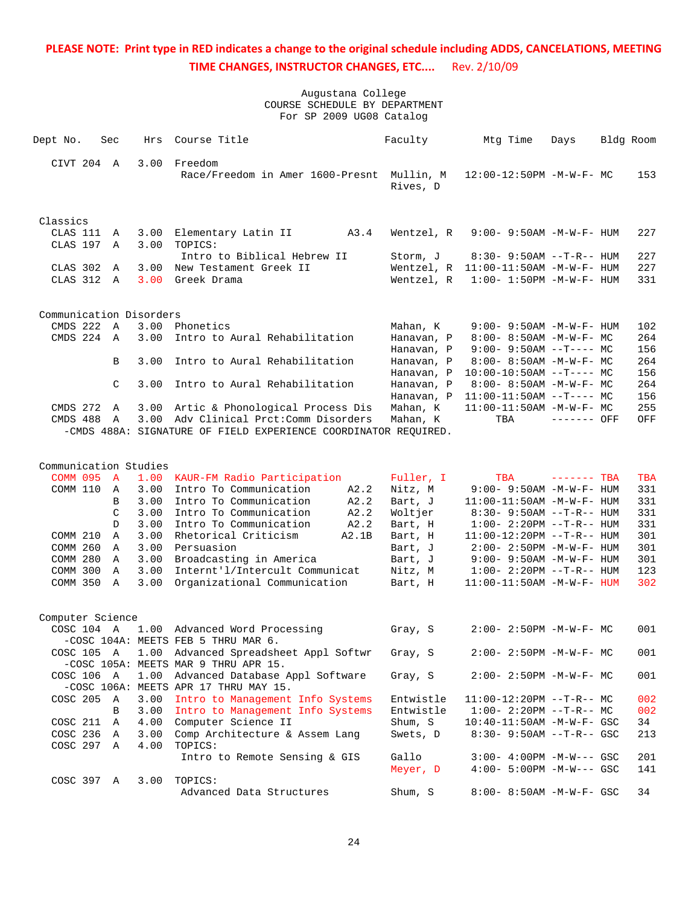| Dept No.                | Sec    | Hrs          | Course Title                                                                  | Faculty                  | Mtg Time                                                       | Days         | Bldg Room |            |
|-------------------------|--------|--------------|-------------------------------------------------------------------------------|--------------------------|----------------------------------------------------------------|--------------|-----------|------------|
| CIVT 204 A              |        | 3.00         | Freedom<br>Race/Freedom in Amer 1600-Presnt Mullin, M                         | Rives, D                 | 12:00-12:50PM -M-W-F- MC                                       |              |           | 153        |
| Classics                |        |              |                                                                               |                          |                                                                |              |           |            |
| CLAS 111 A<br>CLAS 197  | A      | 3.00         | 3.00 Elementary Latin II<br>A3.4<br>TOPICS:                                   | Wentzel, R               | $9:00 - 9:50AM - M - W - F - HUM$                              |              |           | 227        |
|                         |        |              | Intro to Biblical Hebrew II                                                   | Storm, J                 | $8:30 - 9:50AM -T-R-- HUM$                                     |              |           | 227        |
| CLAS 302                | A      | 3.00         | New Testament Greek II                                                        |                          | Wentzel, $R$ 11:00-11:50AM -M-W-F- HUM                         |              |           | 227        |
| CLAS 312 A              |        | 3.00         | Greek Drama                                                                   | Wentzel, R               | $1:00 - 1:50PM -M -W -F - HUM$                                 |              |           | 331        |
| Communication Disorders |        |              |                                                                               |                          |                                                                |              |           |            |
| CMDS 222 A              |        | 3.00         | Phonetics                                                                     | Mahan, K                 | $9:00 - 9:50AM - M - W - F - HUM$                              |              |           | 102        |
| CMDS 224 A              |        | 3.00         | Intro to Aural Rehabilitation                                                 | Hanavan, P               | $8:00 - 8:50AM - M - W - F - MC$                               |              |           | 264        |
|                         |        |              |                                                                               | Hanavan, P               | $9:00 - 9:50AM -T--- MC$                                       |              |           | 156        |
|                         | B      | 3.00         | Intro to Aural Rehabilitation                                                 | Hanavan, P               | 8:00- 8:50AM -M-W-F- MC                                        |              |           | 264        |
|                         |        |              |                                                                               | Hanavan, P               | $10:00-10:50AM$ --T---- MC                                     |              |           | 156        |
|                         | C      | 3.00         | Intro to Aural Rehabilitation                                                 | Hanavan, P<br>Hanavan, P | $8:00 - 8:50AM - M - W - F - MC$<br>$11:00-11:50AM$ --T---- MC |              |           | 264<br>156 |
| CMDS 272 A              |        |              | 3.00 Artic & Phonological Process Dis                                         | Mahan, K                 | 11:00-11:50AM -M-W-F- MC                                       |              |           | 255        |
| CMDS 488                | A      |              | 3.00 Adv Clinical Prct: Comm Disorders                                        | Mahan, K                 | TBA                                                            | ------- OFF  |           | OFF        |
|                         |        |              | -CMDS 488A: SIGNATURE OF FIELD EXPERIENCE COORDINATOR REQUIRED.               |                          |                                                                |              |           |            |
|                         |        |              |                                                                               |                          |                                                                |              |           |            |
| Communication Studies   |        |              |                                                                               |                          |                                                                |              |           |            |
| COMM 095 A              |        |              | 1.00 KAUR-FM Radio Participation                                              | Fuller, I                | <b>TBA</b>                                                     | $------$ TBA |           | TBA        |
| COMM 110 A              |        | 3.00         | Intro To Communication<br>A2.2                                                | Nitz, M                  | $9:00 - 9:50AM - M - W - F - HUM$                              |              |           | 331        |
|                         | B      | 3.00         | Intro To Communication<br>A2.2                                                | Bart, J                  | $11:00-11:50AM$ -M-W-F- HUM                                    |              |           | 331        |
|                         | C      | 3.00         | Intro To Communication<br>A2.2                                                | Woltjer                  | $8:30 - 9:50AM -T-R-- HUM$                                     |              |           | 331        |
|                         | D<br>A | 3.00<br>3.00 | Intro To Communication<br>A2.2                                                | Bart, H                  | $1:00 - 2:20PM -T-R--HUM$                                      |              |           | 331        |
| COMM 210<br>COMM 260 A  |        | 3.00         | Rhetorical Criticism<br>A2.1B<br>Persuasion                                   | Bart, H<br>Bart, J       | $11:00-12:20PM$ --T-R-- HUM<br>2:00- 2:50PM -M-W-F- HUM        |              |           | 301<br>301 |
| COMM 280 A              |        | 3.00         | Broadcasting in America                                                       | Bart, J                  | $9:00 - 9:50AM - M - W - F - HUM$                              |              |           | 301        |
| COMM 300                | A      | 3.00         | Internt'l/Intercult Communicat                                                | Nitz, M                  | $1:00 - 2:20PM -T-R--HUM$                                      |              |           | 123        |
| COMM 350                | A      | 3.00         | Organizational Communication                                                  | Bart, H                  | $11:00-11:50AM$ -M-W-F- HUM                                    |              |           | 302        |
|                         |        |              |                                                                               |                          |                                                                |              |           |            |
| Computer Science        |        |              |                                                                               |                          |                                                                |              |           |            |
| COSC 104 A              |        |              | 1.00 Advanced Word Processing                                                 | Gray, S                  | $2:00 - 2:50PM -M-W-F - MC$                                    |              |           | 001        |
|                         |        |              | -COSC 104A: MEETS FEB 5 THRU MAR 6.                                           |                          |                                                                |              |           |            |
| COSC 105 A              |        |              | 1.00 Advanced Spreadsheet Appl Softwr<br>-COSC 105A: MEETS MAR 9 THRU APR 15. | Gray, S                  | $2:00 - 2:50PM -M-W-F - MC$                                    |              |           | 001        |
| COSC 106 A              |        | 1.00         | Advanced Database Appl Software<br>-COSC 106A: MEETS APR 17 THRU MAY 15.      | Gray, S                  | $2:00 - 2:50PM -M-W-F - MC$                                    |              |           | 001        |
| COSC 205                | A      | 3.00         | Intro to Management Info Systems                                              | Entwistle                | $11:00-12:20PM -T-R-- MC$                                      |              |           | 002        |
|                         | B      | 3.00         | Intro to Management Info Systems                                              | Entwistle                | $1:00-2:20PM -T-R--MC$                                         |              |           | 002        |
| COSC 211                | A      | 4.00         | Computer Science II                                                           | Shum, S                  | $10:40 - 11:50AM$ -M-W-F- GSC                                  |              |           | 34         |
| COSC 236 A              |        | 3.00         | Comp Architecture & Assem Lang                                                | Swets, D                 | $8:30 - 9:50AM -T-R--$ GSC                                     |              |           | 213        |
| COSC 297 A              |        | 4.00         | TOPICS:                                                                       |                          |                                                                |              |           |            |
|                         |        |              | Intro to Remote Sensing & GIS                                                 | Gallo                    | $3:00 - 4:00PM -M-W--- GSC$                                    |              |           | 201        |
|                         |        |              |                                                                               | Meyer, D                 | $4:00 - 5:00PM -M-W--- GSC$                                    |              |           | 141        |
| COSC 397 A              |        | 3.00         | TOPICS:<br>Advanced Data Structures                                           | Shum, S                  | 8:00- 8:50AM -M-W-F- GSC                                       |              |           | 34         |
|                         |        |              |                                                                               |                          |                                                                |              |           |            |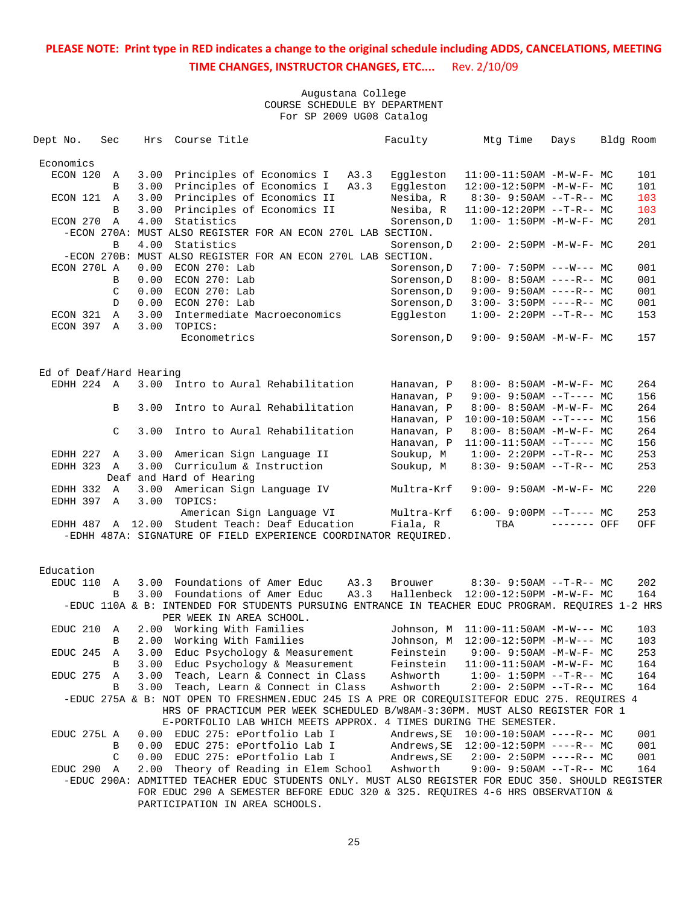| Dept No.                | Sec          | Hrs  | Course Title                                                                                      | Faculty     | Mtg Time                            | Days        | Bldg Room |
|-------------------------|--------------|------|---------------------------------------------------------------------------------------------------|-------------|-------------------------------------|-------------|-----------|
| Economics               |              |      |                                                                                                   |             |                                     |             |           |
| ECON 120                | A            |      | 3.00 Principles of Economics I<br>A3.3                                                            | Eqqleston   | $11:00-11:50AM$ -M-W-F- MC          |             | 101       |
|                         | B            | 3.00 | Principles of Economics I<br>A3.3                                                                 | Eqqleston   | 12:00-12:50PM -M-W-F- MC            |             | 101       |
| ECON 121                | A            | 3.00 | Principles of Economics II                                                                        | Nesiba, R   | $8:30 - 9:50AM -T-R-- MC$           |             | 103       |
|                         | B            | 3.00 | Principles of Economics II                                                                        | Nesiba, R   | $11:00-12:20PM$ --T-R-- MC          |             | 103       |
| ECON 270                | $\mathbb{A}$ | 4.00 | Statistics                                                                                        | Sorenson, D | $1:00 - 1:50PM -M-W-F - MC$         |             | 201       |
|                         |              |      | -ECON 270A: MUST ALSO REGISTER FOR AN ECON 270L LAB SECTION.                                      |             |                                     |             |           |
|                         | B            | 4.00 | Statistics                                                                                        | Sorenson, D | $2:00 - 2:50PM -M-W-F - MC$         |             | 201       |
|                         |              |      | -ECON 270B: MUST ALSO REGISTER FOR AN ECON 270L LAB SECTION.                                      |             |                                     |             |           |
| ECON 270L A             |              | 0.00 | $ECON$ 270: Lab                                                                                   | Sorenson, D | $7:00 - 7:50PM$ ---W--- MC          |             | 001       |
|                         | B            | 0.00 | ECON 270: Lab                                                                                     | Sorenson, D | $8:00 - 8:50AM$ ----R-- MC          |             | 001       |
|                         | C            | 0.00 | ECON 270: Lab                                                                                     | Sorenson, D | $9:00 - 9:50AM$ ----R-- MC          |             | 001       |
|                         | D            | 0.00 | ECON 270: Lab                                                                                     | Sorenson, D | $3:00-3:50PM$ ----R-- MC            |             | 001       |
| ECON 321                | A            | 3.00 | Intermediate Macroeconomics                                                                       | Eqqleston   | $1:00-2:20PM --T-R--MC$             |             | 153       |
| ECON 397                | A            | 3.00 | TOPICS:<br>Econometrics                                                                           |             | $9:00 - 9:50AM - M - W - F - MC$    |             | 157       |
|                         |              |      |                                                                                                   | Sorenson, D |                                     |             |           |
| Ed of Deaf/Hard Hearing |              |      |                                                                                                   |             |                                     |             |           |
| EDHH 224 A              |              | 3.00 | Intro to Aural Rehabilitation                                                                     | Hanavan, P  | 8:00- 8:50AM -M-W-F- MC             |             | 264       |
|                         |              |      |                                                                                                   | Hanavan, P  | $9:00 - 9:50AM -T--- MC$            |             | 156       |
|                         | B            | 3.00 | Intro to Aural Rehabilitation                                                                     | Hanavan, P  | $8:00 - 8:50AM - M - W - F - MC$    |             | 264       |
|                         |              |      |                                                                                                   | Hanavan, P  | $10:00-10:50AM$ --T---- MC          |             | 156       |
|                         | C            | 3.00 | Intro to Aural Rehabilitation                                                                     | Hanavan, P  | $8:00 - 8:50AM - M - W - F - MC$    |             | 264       |
|                         |              |      |                                                                                                   | Hanavan, P  | $11:00-11:50AM$ --T---- MC          |             | 156       |
| EDHH 227                | A            |      | 3.00 American Sign Language II                                                                    | Soukup, M   | $1:00-2:20PM -T-R--MC$              |             | 253       |
| EDHH 323                | A            | 3.00 | Curriculum & Instruction                                                                          | Soukup, M   | $8:30-9:50AM --T-R--MC$             |             | 253       |
|                         |              |      | Deaf and Hard of Hearing                                                                          |             |                                     |             |           |
| EDHH 332                | A            | 3.00 | American Sign Language IV                                                                         | Multra-Krf  | $9:00 - 9:50AM - M - W - F - MC$    |             | 220       |
| EDHH 397 A              |              | 3.00 | TOPICS:                                                                                           |             |                                     |             |           |
|                         |              |      | American Sign Language VI                                                                         | Multra-Krf  | $6:00-9:00PM$ --T---- MC            |             | 253       |
|                         |              |      | EDHH 487 A 12.00 Student Teach: Deaf Education                                                    | Fiala, R    | TBA                                 | $-----$ OFF | OFF       |
|                         |              |      | -EDHH 487A: SIGNATURE OF FIELD EXPERIENCE COORDINATOR REOUIRED.                                   |             |                                     |             |           |
|                         |              |      |                                                                                                   |             |                                     |             |           |
| Education<br>EDUC 110   | A            |      | 3.00 Foundations of Amer Educ<br>A3.3                                                             | Brouwer     | $8:30 - 9:50AM -T-R-- MC$           |             | 202       |
|                         | B            | 3.00 | A3.3<br>Foundations of Amer Educ                                                                  |             | Hallenbeck 12:00-12:50PM -M-W-F- MC |             | 164       |
|                         |              |      | -EDUC 110A & B: INTENDED FOR STUDENTS PURSUING ENTRANCE IN TEACHER EDUC PROGRAM. REQUIRES 1-2 HRS |             |                                     |             |           |
|                         |              |      | PER WEEK IN AREA SCHOOL.                                                                          |             |                                     |             |           |
| EDUC 210                | A            |      | 2.00 Working With Families                                                                        |             | Johnson, M 11:00-11:50AM -M-W--- MC |             | 103       |
|                         | B            |      | 2.00 Working With Families                                                                        |             | Johnson, M 12:00-12:50PM -M-W--- MC |             | 103       |
| EDUC 245                | Α            | 3.00 | Educ Psychology & Measurement                                                                     | Feinstein   | 9:00- 9:50AM -M-W-F- MC             |             | 253       |
|                         | В            | 3.00 | Educ Psychology & Measurement                                                                     | Feinstein   | $11:00-11:50AM$ -M-W-F- MC          |             | 164       |
| EDUC 275                | A            | 3.00 | Teach, Learn & Connect in Class                                                                   | Ashworth    | $1:00-1:50PM -T-R--MC$              |             | 164       |
|                         | В            | 3.00 | Teach, Learn & Connect in Class                                                                   | Ashworth    | $2:00-2:50PM -T-R--MC$              |             | 164       |
|                         |              |      | -EDUC 275A & B: NOT OPEN TO FRESHMEN.EDUC 245 IS A PRE OR COREQUISITEFOR EDUC 275. REQUIRES 4     |             |                                     |             |           |
|                         |              |      | HRS OF PRACTICUM PER WEEK SCHEDULED B/W8AM-3:30PM. MUST ALSO REGISTER FOR 1                       |             |                                     |             |           |
|                         |              |      | E-PORTFOLIO LAB WHICH MEETS APPROX. 4 TIMES DURING THE SEMESTER.                                  |             |                                     |             |           |
| EDUC 275L A             |              | 0.00 | EDUC 275: ePortfolio Lab I                                                                        |             |                                     |             | 001       |
|                         | В            | 0.00 | EDUC 275: ePortfolio Lab I                                                                        |             |                                     |             | 001       |
|                         | C            | 0.00 | EDUC 275: ePortfolio Lab I                                                                        | Andrews, SE | $2:00-2:50PM$ ----R-- MC            |             | 001       |
| EDUC 290                | A            | 2.00 | Theory of Reading in Elem School                                                                  | Ashworth    | $9:00 - 9:50AM -T-R-- MC$           |             | 164       |
|                         |              |      | -EDUC 290A: ADMITTED TEACHER EDUC STUDENTS ONLY. MUST ALSO REGISTER FOR EDUC 350. SHOULD REGISTER |             |                                     |             |           |
|                         |              |      | FOR EDUC 290 A SEMESTER BEFORE EDUC 320 & 325. REQUIRES 4-6 HRS OBSERVATION &                     |             |                                     |             |           |
|                         |              |      | PARTICIPATION IN AREA SCHOOLS.                                                                    |             |                                     |             |           |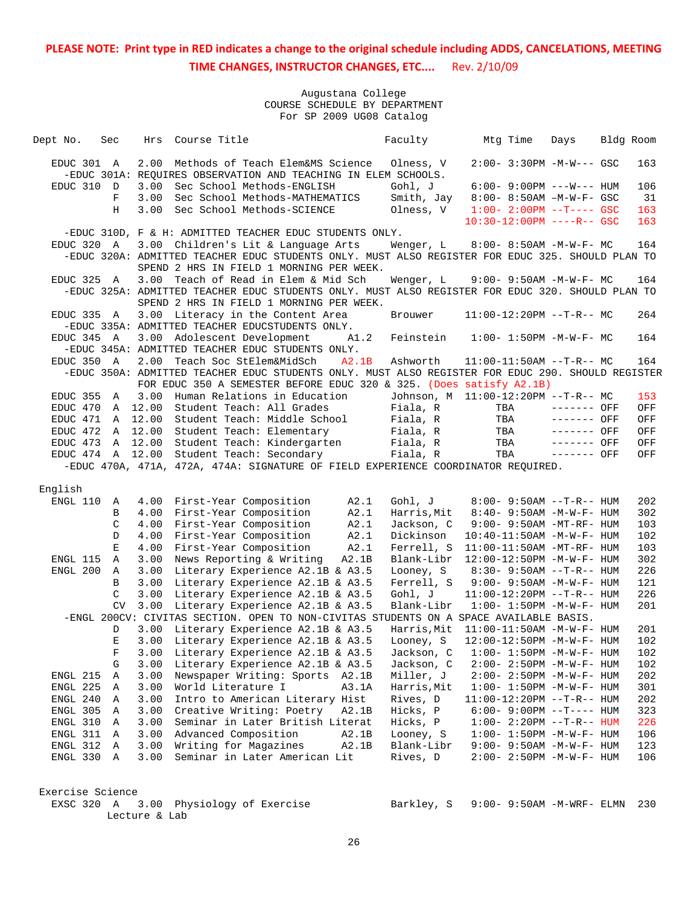Augustana College COURSE SCHEDULE BY DEPARTMENT For SP 2009 UG08 Catalog

| Dept No.            | Sec          | Hrs   | Course Title                                                                                                                                 | Faculty     | Mtg Time                            | Days         | Bldg Room |
|---------------------|--------------|-------|----------------------------------------------------------------------------------------------------------------------------------------------|-------------|-------------------------------------|--------------|-----------|
| EDUC 301 A          |              | 2.00  | Methods of Teach Elem&MS Science<br>-EDUC 301A: REOUIRES OBSERVATION AND TEACHING IN ELEM SCHOOLS.                                           | Olness, V   | 2:00- 3:30PM -M-W--- GSC            |              | 163       |
| EDUC 310            | D            | 3.00  | Sec School Methods-ENGLISH                                                                                                                   | Gohl, J     | $6:00 - 9:00PM$ ---W--- HUM         |              | 106       |
|                     | $\mathbf F$  | 3.00  | Sec School Methods-MATHEMATICS                                                                                                               | Smith, Jay  | 8:00- 8:50AM -M-W-F- GSC            |              | 31        |
|                     | H            | 3.00  | Sec School Methods-SCIENCE                                                                                                                   | Olness, V   | $1:00-2:00PM$ --T---- GSC           |              | 163       |
|                     |              |       |                                                                                                                                              |             | 10:30-12:00PM ----R-- GSC           |              | 163       |
|                     |              |       | -EDUC 310D, F & H: ADMITTED TEACHER EDUC STUDENTS ONLY.                                                                                      |             |                                     |              |           |
| EDUC 320 A          |              |       | 3.00 Children's Lit & Language Arts                                                                                                          | Wenger, L   | 8:00- 8:50AM -M-W-F- MC             |              | 164       |
|                     |              |       | -EDUC 320A: ADMITTED TEACHER EDUC STUDENTS ONLY. MUST ALSO REGISTER FOR EDUC 325. SHOULD PLAN TO<br>SPEND 2 HRS IN FIELD 1 MORNING PER WEEK. |             |                                     |              |           |
| EDUC 325 A          |              |       | 3.00 Teach of Read in Elem & Mid Sch                                                                                                         | Wenger, L   | $9:00 - 9:50AM - M - W - F - MC$    |              | 164       |
|                     |              |       | -EDUC 325A: ADMITTED TEACHER EDUC STUDENTS ONLY. MUST ALSO REGISTER FOR EDUC 320. SHOULD PLAN TO<br>SPEND 2 HRS IN FIELD 1 MORNING PER WEEK. |             |                                     |              |           |
| EDUC 335 A          |              | 3.00  | Literacy in the Content Area<br>-EDUC 335A: ADMITTED TEACHER EDUCSTUDENTS ONLY.                                                              | Brouwer     | $11:00-12:20PM$ --T-R-- MC          |              | 264       |
| EDUC 345 A          |              | 3.00  | Adolescent Development<br>A1.2<br>-EDUC 345A: ADMITTED TEACHER EDUC STUDENTS ONLY.                                                           | Feinstein   | $1:00 - 1:50PM - M - W - F - MC$    |              | 164       |
| EDUC 350 A          |              | 2.00  | Teach Soc StElem&MidSch<br>A2.1B                                                                                                             | Ashworth    | $11:00-11:50AM$ --T-R-- MC          |              | 164       |
|                     |              |       | -EDUC 350A: ADMITTED TEACHER EDUC STUDENTS ONLY. MUST ALSO REGISTER FOR EDUC 290. SHOULD REGISTER                                            |             |                                     |              |           |
|                     |              |       | FOR EDUC 350 A SEMESTER BEFORE EDUC 320 & 325. (Does satisfy A2.1B)                                                                          |             |                                     |              |           |
| EDUC 355            | A            | 3.00  | Human Relations in Education                                                                                                                 |             | Johnson, M 11:00-12:20PM --T-R-- MC |              | 153       |
| EDUC 470            | A            | 12.00 | Student Teach: All Grades                                                                                                                    | Fiala, R    | TBA                                 | ------- OFF  | OFF       |
| EDUC 471            | $\mathbb A$  | 12.00 | Student Teach: Middle School                                                                                                                 | Fiala, R    | TBA                                 | $-----$ OFF  | OFF       |
| EDUC 472            | $\mathbf{A}$ | 12.00 | Student Teach: Elementary                                                                                                                    | Fiala, R    | TBA                                 | $-----$ OFF  | OFF       |
| EDUC 473            | A            | 12.00 | Student Teach: Kindergarten                                                                                                                  | Fiala, R    | TBA                                 | ------- OFF  | OFF       |
| EDUC 474            | $\mathbb A$  | 12.00 | Student Teach: Secondary                                                                                                                     | Fiala, R    | TBA                                 | $------$ OFF | OFF       |
|                     |              |       | -EDUC 470A, 471A, 472A, 474A: SIGNATURE OF FIELD EXPERIENCE COORDINATOR REQUIRED.                                                            |             |                                     |              |           |
|                     |              |       |                                                                                                                                              |             |                                     |              |           |
| English<br>ENGL 110 | Α            |       | A2.1<br>4.00 First-Year Composition                                                                                                          | Gohl, J     | $8:00 - 9:50AM -T-R-- HUM$          |              | 202       |
|                     | B            | 4.00  | First-Year Composition<br>A2.1                                                                                                               | Harris, Mit | $8:40 - 9:50AM - M - W - F - HUM$   |              | 302       |
|                     | C            | 4.00  | First-Year Composition<br>A2.1                                                                                                               | Jackson, C  | 9:00- 9:50AM -MT-RF- HUM            |              | 103       |
|                     | D            | 4.00  | First-Year Composition<br>A2.1                                                                                                               | Dickinson   | 10:40-11:50AM -M-W-F- HUM           |              | 102       |
|                     | E            | 4.00  | First-Year Composition<br>A2.1                                                                                                               | Ferrell, S  | 11:00-11:50AM -MT-RF- HUM           |              | 103       |
| ENGL 115            | Α            | 3.00  | News Reporting & Writing<br>A2.1B                                                                                                            | Blank-Libr  | 12:00-12:50PM -M-W-F- HUM           |              | 302       |
| ENGL 200            | Α            | 3.00  | Literary Experience A2.1B & A3.5                                                                                                             | Looney, S   | $8:30 - 9:50AM -T-R-- HUM$          |              | 226       |
|                     | B            | 3.00  | Literary Experience A2.1B & A3.5                                                                                                             | Ferrell, S  | $9:00 - 9:50AM - M - W - F - HUM$   |              | 121       |
|                     | C            | 3.00  | Literary Experience A2.1B & A3.5                                                                                                             | Gohl, J     | $11:00-12:20PM$ --T-R-- HUM         |              | 226       |
|                     | CV           | 3.00  | Literary Experience A2.1B & A3.5                                                                                                             | Blank-Libr  | $1:00 - 1:50PM -M -W -F - HUM$      |              | 201       |
|                     |              |       | -ENGL 200CV: CIVITAS SECTION. OPEN TO NON-CIVITAS STUDENTS ON A SPACE AVAILABLE BASIS.                                                       |             |                                     |              |           |
|                     | D            | 3.00  | Literary Experience A2.1B & A3.5                                                                                                             | Harris,Mit  | 11:00-11:50AM -M-W-F- HUM           |              | 201       |
|                     | E            | 3.00  | Literary Experience A2.1B & A3.5                                                                                                             | Looney, S   | 12:00-12:50PM -M-W-F- HUM           |              | 102       |
|                     | F            | 3.00  | Literary Experience A2.1B & A3.5                                                                                                             | Jackson, C  | $1:00 - 1:50PM - M - W - F - HUM$   |              | 102       |
|                     | G            | 3.00  | Literary Experience A2.1B & A3.5                                                                                                             | Jackson, C  | 2:00- 2:50PM -M-W-F- HUM            |              | 102       |
| ENGL 215            | Α            | 3.00  | Newspaper Writing: Sports A2.1B                                                                                                              | Miller, J   | 2:00- 2:50PM -M-W-F- HUM            |              | 202       |
| ENGL 225            | Α            | 3.00  | World Literature I<br>A3.1A                                                                                                                  | Harris, Mit | $1:00 - 1:50PM - M - W - F - HUM$   |              | 301       |
| ENGL 240            | A            | 3.00  | Intro to American Literary Hist                                                                                                              | Rives, D    | 11:00-12:20PM --T-R-- HUM           |              | 202       |
| ENGL 305            | A            | 3.00  | Creative Writing: Poetry<br>A2.1B                                                                                                            | Hicks, P    | $6:00-9:00PM --T---HUM$             |              | 323       |
| ENGL 310            | Α            | 3.00  | Seminar in Later British Literat                                                                                                             | Hicks, P    | $1:00 - 2:20PM -T-R--HUM$           |              | 226       |
| ENGL 311            | A            | 3.00  | Advanced Composition<br>A2.1B                                                                                                                | Looney, S   | $1:00 - 1:50PM -M -W -F - HUM$      |              | 106       |
| ENGL 312            | A            | 3.00  | Writing for Magazines<br>A2.1B                                                                                                               | Blank-Libr  | 9:00- 9:50AM -M-W-F- HUM            |              | 123       |
| ENGL 330            | A            | 3.00  | Seminar in Later American Lit                                                                                                                | Rives, D    | 2:00- 2:50PM -M-W-F- HUM            |              | 106       |
| Exercise Science    |              |       |                                                                                                                                              |             |                                     |              |           |
|                     |              |       | EXSC 320 A 3.00 Physiology of Exercise                                                                                                       | Barkley, S  | $9:00-9:50AM -M-WRF-ELMN$           |              | 230       |

Lecture & Lab

26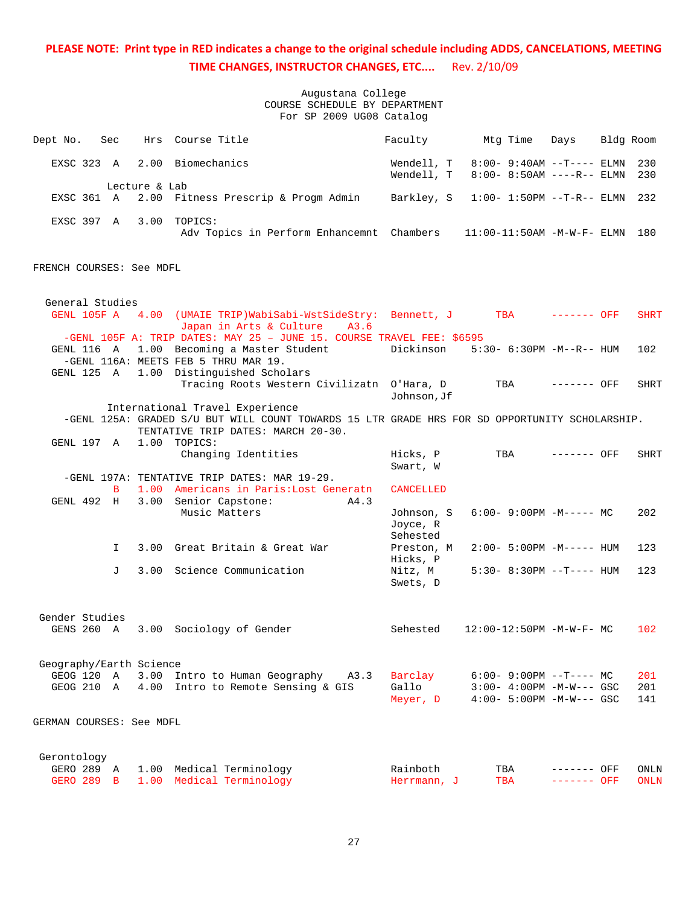| Dept No.                 | Sec |               | Hrs Course Title                                                                                                                     | Faculty                  | Mtg Time                                                     | Days        | Bldg Room |             |
|--------------------------|-----|---------------|--------------------------------------------------------------------------------------------------------------------------------------|--------------------------|--------------------------------------------------------------|-------------|-----------|-------------|
|                          |     |               | EXSC 323 A 2.00 Biomechanics                                                                                                         | Wendell, T<br>Wendell, T | $8:00 - 9:40AM$ --T---- ELMN<br>$8:00 - 8:50AM$ ----R-- ELMN |             |           | 230<br>230  |
|                          |     | Lecture & Lab |                                                                                                                                      |                          |                                                              |             |           |             |
|                          |     |               | EXSC 361 A 2.00 Fitness Prescrip & Progm Admin                                                                                       | Barkley, S               | $1:00 - 1:50PM -T-R-- ELMN$ 232                              |             |           |             |
|                          |     |               | EXSC 397 A 3.00 TOPICS:<br>Adv Topics in Perform Enhancemnt Chambers 11:00-11:50AM -M-W-F- ELMN 180                                  |                          |                                                              |             |           |             |
| FRENCH COURSES: See MDFL |     |               |                                                                                                                                      |                          |                                                              |             |           |             |
|                          |     |               |                                                                                                                                      |                          |                                                              |             |           |             |
| General Studies          |     |               |                                                                                                                                      |                          |                                                              |             |           | <b>SHRT</b> |
|                          |     |               | GENL 105F A 4.00 (UMAIE TRIP) WabiSabi-WstSideStry: Bennett, J TBA ------- OFF<br>Japan in Arts & Culture<br>A3.6                    |                          |                                                              |             |           |             |
| GENL 116 A               |     |               | -GENL 105F A: TRIP DATES: MAY 25 - JUNE 15. COURSE TRAVEL FEE: \$6595<br>1.00 Becoming a Master Student                              | Dickinson                | 5:30- 6:30PM -M--R-- HUM                                     |             |           | 102         |
|                          |     |               | -GENL 116A: MEETS FEB 5 THRU MAR 19.                                                                                                 |                          |                                                              |             |           |             |
| GENL 125 A               |     |               | 1.00 Distinguished Scholars                                                                                                          |                          |                                                              |             |           |             |
|                          |     |               | Tracing Roots Western Civilizatn O'Hara, D                                                                                           | Johnson, Jf              | TBA                                                          | ------- OFF |           | <b>SHRT</b> |
|                          |     |               | International Travel Experience                                                                                                      |                          |                                                              |             |           |             |
|                          |     |               | -GENL 125A: GRADED S/U BUT WILL COUNT TOWARDS 15 LTR GRADE HRS FOR SD OPPORTUNITY SCHOLARSHIP.<br>TENTATIVE TRIP DATES: MARCH 20-30. |                          |                                                              |             |           |             |
|                          |     |               | GENL 197 A 1.00 TOPICS:                                                                                                              |                          |                                                              |             |           |             |
|                          |     |               | Changing Identities                                                                                                                  | Hicks, P<br>Swart, W     | TBA                                                          | $-----$ OFF |           | <b>SHRT</b> |
|                          |     |               | -GENL 197A: TENTATIVE TRIP DATES: MAR 19-29.                                                                                         |                          |                                                              |             |           |             |
|                          | B   |               | 1.00 Americans in Paris: Lost Generatn                                                                                               | <b>CANCELLED</b>         |                                                              |             |           |             |
|                          |     |               | GENL 492 H 3.00 Senior Capstone:<br>A4.3                                                                                             |                          |                                                              |             |           |             |
|                          |     |               | Music Matters                                                                                                                        | Johnson, S               | $6:00-9:00PM -M--- - M$                                      |             |           | 202         |
|                          |     |               |                                                                                                                                      | Joyce, R                 |                                                              |             |           |             |
|                          | I.  |               | 3.00 Great Britain & Great War                                                                                                       | Sehested<br>Preston, M   | $2:00 - 5:00PM -M---HUM$                                     |             |           | 123         |
|                          |     |               |                                                                                                                                      | Hicks, P                 |                                                              |             |           |             |
|                          | J   |               | 3.00 Science Communication                                                                                                           | Nitz, M<br>Swets, D      | 5:30- 8:30PM --T---- HUM                                     |             |           | 123         |
|                          |     |               |                                                                                                                                      |                          |                                                              |             |           |             |
| Gender Studies           |     |               |                                                                                                                                      |                          |                                                              |             |           |             |
| GENS 260 A               |     |               | 3.00 Sociology of Gender                                                                                                             | Sehested                 | $12:00-12:50PM -M-W-F-MC$                                    |             |           | 102         |
|                          |     |               |                                                                                                                                      |                          |                                                              |             |           |             |
| Geography/Earth Science  |     |               |                                                                                                                                      |                          |                                                              |             |           |             |
| GEOG 120 A               |     | 3.00          | Intro to Human Geography<br>A3.3                                                                                                     | Barclay                  | $6:00-9:00PM$ --T---- MC                                     |             |           | 201         |
| GEOG 210 A               |     | 4.00          | Intro to Remote Sensing & GIS                                                                                                        | Gallo                    | $3:00 - 4:00PM -M-W---$ GSC                                  |             |           | 201         |
|                          |     |               |                                                                                                                                      | Meyer, D                 | $4:00 - 5:00PM -M-W--- GSC$                                  |             |           | 141         |
| GERMAN COURSES: See MDFL |     |               |                                                                                                                                      |                          |                                                              |             |           |             |
|                          |     |               |                                                                                                                                      |                          |                                                              |             |           |             |
| Gerontology              |     |               |                                                                                                                                      |                          |                                                              |             |           |             |
| GERO 289 A               |     |               | 1.00 Medical Terminology                                                                                                             | Rainboth                 | TBA                                                          | ------- OFF |           | ONLN        |
| GERO 289 B               |     |               | 1.00 Medical Terminology                                                                                                             | Herrmann, J              | <b>TBA</b>                                                   | ------- OFF |           | <b>ONLN</b> |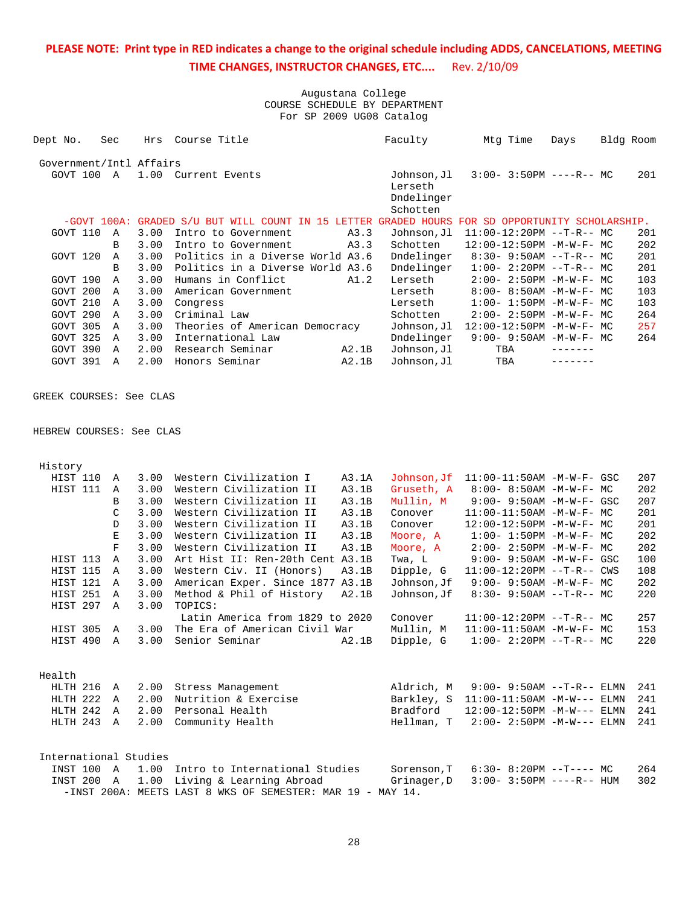Augustana College COURSE SCHEDULE BY DEPARTMENT For SP 2009 UG08 Catalog

| Dept No.                | Sec            | Hrs  | Course Title                     |               | Faculty             |     | Mtg Time | Days                             | Bldg Room |     |
|-------------------------|----------------|------|----------------------------------|---------------|---------------------|-----|----------|----------------------------------|-----------|-----|
| Government/Intl Affairs |                |      |                                  |               |                     |     |          |                                  |           |     |
| GOVT 100                | $\mathbf{A}$   | 1.00 | Current Events                   |               | Johnson,Jl          |     |          | $3:00 - 3:50PM$ ----R-- MC       |           | 201 |
|                         |                |      |                                  |               | Lerseth             |     |          |                                  |           |     |
|                         |                |      |                                  |               | Dndelinger          |     |          |                                  |           |     |
|                         |                |      |                                  |               | Schotten            |     |          |                                  |           |     |
|                         | $-GOVT 100A$ : |      | GRADED S/U BUT WILL COUNT IN     | -15<br>LETTER | <b>GRADED HOURS</b> |     |          | FOR SD OPPORTUNITY SCHOLARSHIP.  |           |     |
| GOVT 110                | A              | 3.00 | Intro to Government              | A3.3          | Johnson, Jl         |     |          | $11:00-12:20PM --T-R--MC$        |           | 201 |
|                         | B              | 3.00 | Intro to Government              | A3.3          | Schotten            |     |          | $12:00-12:50PM -M-W-F-MC$        |           | 202 |
| GOVT 120                | A              | 3.00 | Politics in a Diverse World A3.6 |               | Dndelinger          |     |          | $8:30 - 9:50AM -T-R--MC$         |           | 201 |
|                         | B              | 3.00 | Politics in a Diverse World A3.6 |               | Dndelinger          |     |          | $1:00 - 2:20PM -T-R--MC$         |           | 201 |
| GOVT 190                | A              | 3.00 | Humans in Conflict               | A1.2          | Lerseth             |     |          | $2:00 - 2:50PM -M-W-F - MC$      |           | 103 |
| GOVT 200                | A              | 3.00 | American Government              |               | Lerseth             |     |          | $8:00 - 8:50AM - M - W - F - MC$ |           | 103 |
| GOVT 210                | A              | 3.00 | Congress                         |               | Lerseth             |     |          | $1:00 - 1:50PM - M - W - F - MC$ |           | 103 |
| GOVT 290                | A              | 3.00 | Criminal Law                     |               | Schotten            |     |          | $2:00 - 2:50PM - M-W-F - MC$     |           | 264 |
| GOVT 305                | A              | 3.00 | Theories of American Democracy   |               | Johnson, Jl         |     |          | 12:00-12:50PM -M-W-F- MC         |           | 257 |
| GOVT 325                | A              | 3.00 | International Law                |               | Dndelinger          |     |          | $9:00 - 9:50AM - M - W - F - MC$ |           | 264 |
| GOVT 390                | A              | 2.00 | Research Seminar                 | A2.1B         | Johnson, Jl         | TBA |          |                                  |           |     |
| GOVT 391                | A              | 2.00 | Honors Seminar                   | A2.1B         | Johnson, Jl         | TBA |          |                                  |           |     |

GREEK COURSES: See CLAS

HEBREW COURSES: See CLAS

History

| HIST 110 | $\Delta$                                                                                       | 3.00 | Western Civilization I           | A3.1A | Johnson, Jf | $11:00-11:50AM$ $-M-W-F-$ GSC     | 207 |
|----------|------------------------------------------------------------------------------------------------|------|----------------------------------|-------|-------------|-----------------------------------|-----|
| HIST 111 | $\mathbb{A}$                                                                                   | 3.00 | Western Civilization II          | A3.1B | Gruseth, A  | $8:00 - 8:50AM - M - W - F - MC$  | 202 |
|          | B                                                                                              | 3.00 | Western Civilization II          | A3.1B | Mullin, M   | 9:00- 9:50AM -M-W-F- GSC          | 207 |
|          | $\mathcal{C}$                                                                                  | 3.00 | Western Civilization II          | A3.1B | Conover     | $11:00-11:50AM$ -M-W-F- MC        | 201 |
|          | D                                                                                              | 3.00 | Western Civilization II          | A3.1B | Conover     | 12:00-12:50PM -M-W-F- MC          | 201 |
|          | $\mathbf{E}% _{t}\left  \mathbf{1}\right\rangle =\mathbf{1}_{t}\left  \mathbf{1}\right\rangle$ | 3.00 | Western Civilization II          | A3.1B | Moore, A    | $1:00-1:50PM -M-W-F-MC$           | 202 |
|          | F                                                                                              | 3.00 | Western Civilization II          | A3.1B | Moore, A    | $2:00 - 2:50PM -M-W-F - MC$       | 202 |
| HIST 113 | $\Delta$                                                                                       | 3.00 | Art Hist II: Ren-20th Cent A3.1B |       | Twa, L      | $9:00 - 9:50AM - M - W - F - GSC$ | 100 |
| HIST 115 | $\mathbf{A}$                                                                                   | 3.00 | Western Civ. II (Honors)         | A3.1B | Dipple, G   | $11:00-12:20PM --T-R--CWS$        | 108 |
| HIST 121 | $\mathbf{A}$                                                                                   | 3.00 | American Exper. Since 1877       | A3.1B | Johnson,Jf  | $9:00 - 9:50AM - M - W - F - MC$  | 202 |
| HIST 251 | $\mathbb{A}$                                                                                   | 3.00 | Method & Phil of History         | A2.1B | Johnson,Jf  | $8:30 - 9:50AM -T-R--MC$          | 220 |
| HIST 297 | $\Delta$                                                                                       | 3.00 | TOPICS:                          |       |             |                                   |     |
|          |                                                                                                |      | Latin America from 1829 to 2020  |       | Conover     | $11:00-12:20PM --T-R--MC$         | 257 |
| HIST 305 | A                                                                                              | 3.00 | The Era of American Civil War    |       | Mullin, M   | $11:00-11:50AM$ -M-W-F- MC        | 153 |
| HIST 490 | $\mathbb{A}$                                                                                   | 3.00 | Senior Seminar                   | A2.1B | Dipple, G   | $1:00-2:20PM --T-R--MC$           | 220 |
| Health   |                                                                                                |      |                                  |       |             |                                   |     |
| HLTH 216 | $\mathsf{A}$                                                                                   | 2.00 | Stress Management                |       | Aldrich, M  | $9:00 - 9:50AM -T-R--ELMN$        | 241 |
| HLTH 222 | $\mathbf{A}$                                                                                   | 2.00 | Nutrition & Exercise             |       | Barkley, S  | $11:00-11:50AM$ $-M-W---$ ELMN    | 241 |
| HLTH 242 | $\mathbf{A}$                                                                                   | 2.00 | Personal Health                  |       | Bradford    | $12:00-12:50PM -M-W---$ ELMN      | 241 |
| HLTH 243 | A                                                                                              | 2.00 | Community Health                 |       | Hellman, T  | $2:00 - 2:50PM -M-W---$ ELMN      | 241 |

| International Studies |                                                            |                                    |     |
|-----------------------|------------------------------------------------------------|------------------------------------|-----|
|                       | INST 100 A 1.00 Intro to International Studies             |                                    | 264 |
|                       | INST 200 A 1.00 Living & Learning Abroad                   | Grinager.D 3:00-3:50PM ----R-- HUM | 302 |
|                       | -INST 200A: MEETS LAST 8 WKS OF SEMESTER: MAR 19 - MAY 14. |                                    |     |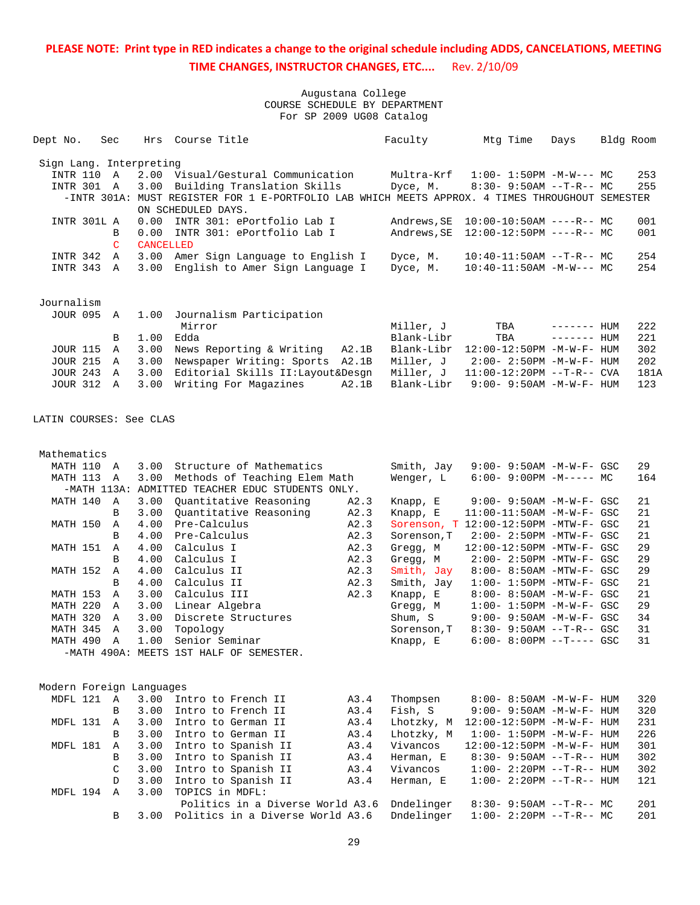| Dept No.<br>Sec            | Hrs              | Course Title                                                                                                          |              | Faculty                | Mtg Time                                             | Days        | Bldg Room |          |
|----------------------------|------------------|-----------------------------------------------------------------------------------------------------------------------|--------------|------------------------|------------------------------------------------------|-------------|-----------|----------|
| Sign Lang. Interpreting    |                  |                                                                                                                       |              |                        |                                                      |             |           |          |
| INTR 110<br>$\overline{A}$ | 2.00             | Visual/Gestural Communication                                                                                         |              | Multra-Krf             | $1:00 - 1:50PM -M-W--- MC$                           |             |           | 253      |
| INTR 301 A                 | 3.00             | Building Translation Skills                                                                                           |              | Dyce, M.               | $8:30-9:50AM --T-R--MC$                              |             |           | 255      |
|                            |                  | -INTR 301A: MUST REGISTER FOR 1 E-PORTFOLIO LAB WHICH MEETS APPROX. 4 TIMES THROUGHOUT SEMESTER<br>ON SCHEDULED DAYS. |              |                        |                                                      |             |           |          |
| INTR 301L A                | 0.00             | INTR 301: ePortfolio Lab I                                                                                            |              | Andrews, SE            | $10:00-10:50AM$ ----R-- MC                           |             |           | 001      |
| B                          | 0.00             | INTR 301: ePortfolio Lab I                                                                                            |              | Andrews, SE            | $12:00-12:50PM$ ----R-- MC                           |             |           | 001      |
| $\mathsf{C}$               | <b>CANCELLED</b> |                                                                                                                       |              |                        |                                                      |             |           |          |
| INTR 342<br>A              | 3.00             | Amer Sign Language to English I                                                                                       |              | Dyce, M.               | $10:40-11:50AM$ --T-R-- MC                           |             |           | 254      |
| INTR 343 A                 | 3.00             | English to Amer Sign Language I                                                                                       |              | Dyce, M.               | $10:40-11:50AM -M-W--- MC$                           |             |           | 254      |
| Journalism                 |                  |                                                                                                                       |              |                        |                                                      |             |           |          |
| <b>JOUR 095</b><br>A       | 1.00             | Journalism Participation                                                                                              |              |                        |                                                      |             |           |          |
|                            |                  | Mirror                                                                                                                |              | Miller, J              | TBA                                                  | ------- HUM |           | 222      |
| В                          | 1.00             | Edda                                                                                                                  |              | Blank-Libr             | TBA                                                  | ------- HUM |           | 221      |
| <b>JOUR 115</b><br>A       | 3.00             | News Reporting & Writing                                                                                              | A2.1B        | Blank-Libr             | 12:00-12:50PM -M-W-F- HUM                            |             |           | 302      |
| <b>JOUR 215</b><br>A       | 3.00             | Newspaper Writing: Sports                                                                                             | A2.1B        | Miller, J              | $2:00 - 2:50PM -M-W-F- HUM$                          |             |           | 202      |
| <b>JOUR 243</b><br>A       | 3.00             | Editorial Skills II: Layout& Desgn                                                                                    |              | Miller, J              | $11:00-12:20PM$ --T-R-- CVA                          |             |           | 181A     |
| JOUR 312 A                 | 3.00             | Writing For Magazines                                                                                                 | A2.1B        | Blank-Libr             | $9:00 - 9:50AM - M - W - F - HUM$                    |             |           | 123      |
| LATIN COURSES: See CLAS    |                  |                                                                                                                       |              |                        |                                                      |             |           |          |
| Mathematics                |                  |                                                                                                                       |              |                        |                                                      |             |           |          |
| MATH 110<br>A              | 3.00             | Structure of Mathematics                                                                                              |              | Smith, Jay             | $9:00 - 9:50AM - M - W - F - GSC$                    |             |           | 29       |
| MATH 113<br>A              | 3.00             | Methods of Teaching Elem Math                                                                                         |              | Wenger, L              | $6:00-9:00PM -M----- MC$                             |             |           | 164      |
|                            |                  | -MATH 113A: ADMITTED TEACHER EDUC STUDENTS ONLY.                                                                      |              |                        |                                                      |             |           |          |
| MATH 140<br>A              | 3.00             | Quantitative Reasoning                                                                                                | A2.3         | Knapp, E               | 9:00- 9:50AM -M-W-F- GSC                             |             |           | 21       |
| B                          | 3.00             | Quantitative Reasoning                                                                                                | A2.3         | Knapp, E               | $11:00-11:50AM$ -M-W-F- GSC                          |             |           | 21       |
| MATH 150<br>A              | 4.00             | Pre-Calculus                                                                                                          | A2.3         |                        | Sorenson, T 12:00-12:50PM -MTW-F- GSC                |             |           | 21       |
| B                          | 4.00             | Pre-Calculus                                                                                                          | A2.3         | Sorenson, T            | 2:00- 2:50PM -MTW-F- GSC                             |             |           | 21       |
| MATH 151<br>A              | 4.00             | Calculus I                                                                                                            | A2.3         | Gregg, M               | 12:00-12:50PM -MTW-F- GSC                            |             |           | 29       |
| B<br>MATH 152<br>Α         | 4.00<br>4.00     | Calculus I<br>Calculus II                                                                                             | A2.3<br>A2.3 | Gregg, M<br>Smith, Jay | $2:00-2:50PM -MTW-F-GSC$                             |             |           | 29<br>29 |
| B                          | 4.00             | Calculus II                                                                                                           | A2.3         | Smith, Jay             | 8:00- 8:50AM -MTW-F- GSC<br>$1:00-1:50PM -MTW-F-GSC$ |             |           | 21       |
| MATH 153<br>A              | 3.00             | Calculus III                                                                                                          | A2.3         | Knapp, E               | 8:00- 8:50AM -M-W-F- GSC                             |             |           | 21       |
| MATH 220<br>A              | 3.00             | Linear Algebra                                                                                                        |              | Gregg, M               | $1:00 - 1:50PM - M - W - F - GSC$                    |             |           | 29       |
| MATH 320<br>A              | 3.00             | Discrete Structures                                                                                                   |              | Shum, S                | $9:00 - 9:50AM - M - W - F - GSC$                    |             |           | 34       |
| MATH 345<br>A              | 3.00             | Topology                                                                                                              |              | Sorenson, T            | $8:30 - 9:50AM -T-R--$ GSC                           |             |           | 31       |
| MATH 490 A                 | 1.00             | Senior Seminar                                                                                                        |              | Knapp, E               | $6:00 - 8:00PM -T--- GSC$                            |             |           | 31       |
|                            |                  | -MATH 490A: MEETS 1ST HALF OF SEMESTER.                                                                               |              |                        |                                                      |             |           |          |
|                            |                  |                                                                                                                       |              |                        |                                                      |             |           |          |
| Modern Foreign Languages   |                  |                                                                                                                       |              |                        |                                                      |             |           |          |
| MDFL 121<br>A              | 3.00             | Intro to French II                                                                                                    | A3.4         | Thompsen               | 8:00- 8:50AM -M-W-F- HUM                             |             |           | 320      |
| B                          | 3.00             | Intro to French II                                                                                                    | A3.4         | Fish, S                | 9:00- 9:50AM -M-W-F- HUM                             |             |           | 320      |
| MDFL 131<br>Α              | 3.00             | Intro to German II                                                                                                    | A3.4         | Lhotzky, M             | 12:00-12:50PM -M-W-F- HUM                            |             |           | 231      |
| B                          | 3.00             | Intro to German II                                                                                                    | A3.4         | Lhotzky, M             | $1:00 - 1:50PM -M-W-F - HUM$                         |             |           | 226      |
| MDFL 181<br>Α              | 3.00             | Intro to Spanish II                                                                                                   | A3.4         | Vivancos               | 12:00-12:50PM -M-W-F- HUM                            |             |           | 301      |
| B                          | 3.00             | Intro to Spanish II                                                                                                   | A3.4         | Herman, E              | $8:30 - 9:50AM -T-R-- HUM$                           |             |           | 302      |
| C                          | 3.00             | Intro to Spanish II                                                                                                   | A3.4         | Vivancos               | $1:00 - 2:20PM -T-R--HUM$                            |             |           | 302      |
| D                          | 3.00             | Intro to Spanish II                                                                                                   | A3.4         | Herman, E              | $1:00 - 2:20PM -T-R-- HUM$                           |             |           | 121      |
| MDFL 194<br>$\overline{A}$ | 3.00             | TOPICS in MDFL:<br>Politics in a Diverse World A3.6                                                                   |              | Dndelinger             | $8:30 - 9:50AM -T-R-- MC$                            |             |           | 201      |
| В                          | 3.00             | Politics in a Diverse World A3.6                                                                                      |              | Dndelinger             | $1:00-2:20PM -T-R--MC$                               |             |           | 201      |
|                            |                  |                                                                                                                       |              |                        |                                                      |             |           |          |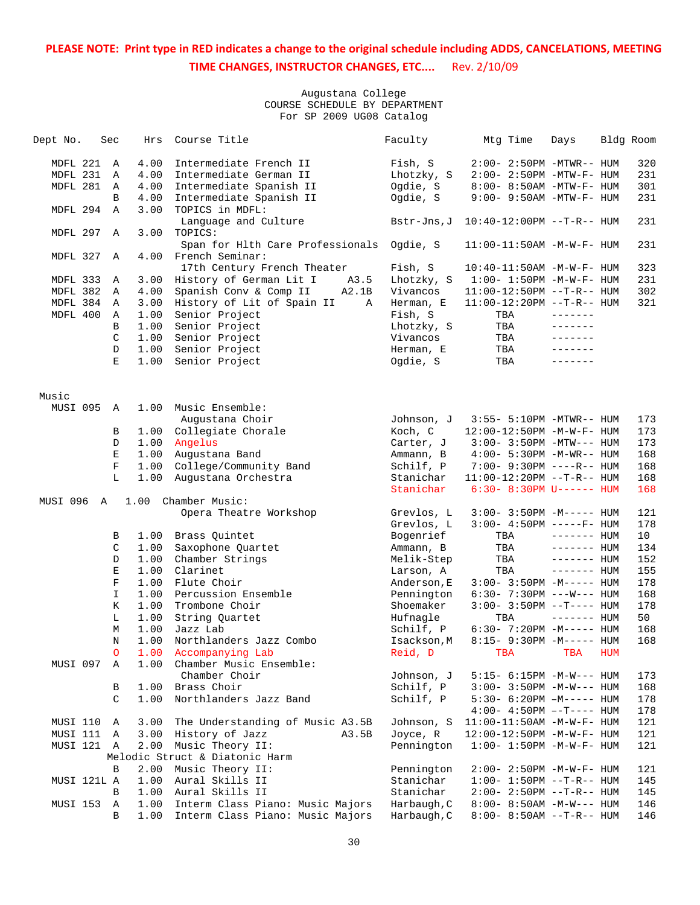| Dept No.            | Sec           | Hrs  | Course Title                                                 | Faculty     | Mtg Time                                                    | Days         | Bldg Room |                 |
|---------------------|---------------|------|--------------------------------------------------------------|-------------|-------------------------------------------------------------|--------------|-----------|-----------------|
| MDFL 221            | A             | 4.00 | Intermediate French II                                       | Fish, S     | $2:00 - 2:50PM - MTWR - - HUM$                              |              |           | 320             |
| MDFL 231            | Α             | 4.00 | Intermediate German II                                       | Lhotzky, S  | $2:00-2:50PM -MTW-F-HUM$                                    |              |           | 231             |
| MDFL 281            | Α             | 4.00 | Intermediate Spanish II                                      | Ogdie, S    | 8:00- 8:50AM -MTW-F- HUM                                    |              |           | 301             |
|                     | B             | 4.00 | Intermediate Spanish II                                      | Ogdie, S    | $9:00 - 9:50AM - MTW-F - HUM$                               |              |           | 231             |
| MDFL 294            | Α             | 3.00 | TOPICS in MDFL:                                              |             |                                                             |              |           |                 |
| MDFL 297            | A             | 3.00 | Language and Culture<br>TOPICS:                              |             | Bstr-Jns, $J = 10:40-12:00PM -T-R--HUM$                     |              |           | 231             |
| MDFL 327            | Α             | 4.00 | Span for Hlth Care Professionals Ogdie, S<br>French Seminar: |             | $11:00-11:50AM$ -M-W-F- HUM                                 |              |           | 231             |
|                     |               |      | 17th Century French Theater                                  | Fish, S     | 10:40-11:50AM -M-W-F- HUM                                   |              |           | 323             |
| MDFL 333            | Α             | 3.00 | History of German Lit I<br>A3.5                              | Lhotzky, S  | $1:00 - 1:50PM - M - W - F - HUM$                           |              |           | 231             |
| MDFL 382            | Α             | 4.00 | Spanish Conv & Comp II<br>A2.1B                              | Vivancos    | 11:00-12:50PM --T-R-- HUM                                   |              |           | 302             |
| MDFL 384            | Α             | 3.00 | History of Lit of Spain II<br>Α                              | Herman, E   | 11:00-12:20PM --T-R-- HUM                                   |              |           | 321             |
| MDFL 400            | Α             | 1.00 | Senior Project                                               | Fish, S     | TBA                                                         |              |           |                 |
|                     | B             | 1.00 | Senior Project                                               | Lhotzky, S  | TBA                                                         | -------      |           |                 |
|                     | C             | 1.00 | Senior Project                                               | Vivancos    | TBA                                                         | -------      |           |                 |
|                     | D             | 1.00 | Senior Project                                               | Herman, E   | TBA                                                         |              |           |                 |
|                     | Ε             | 1.00 | Senior Project                                               | Ogdie, S    | TBA                                                         | -------      |           |                 |
| Music<br>MUSI 095 A |               | 1.00 | Music Ensemble:                                              |             |                                                             |              |           |                 |
|                     |               |      | Augustana Choir                                              | Johnson, J  | 3:55- 5:10PM -MTWR-- HUM                                    |              |           | 173             |
|                     | B             | 1.00 | Collegiate Chorale                                           | Koch, C     | 12:00-12:50PM -M-W-F- HUM                                   |              |           | 173             |
|                     | D             | 1.00 | Angelus                                                      | Carter, J   | $3:00 - 3:50PM - MTW---$ HUM                                |              |           | 173             |
|                     | Е             | 1.00 | Augustana Band                                               | Ammann, B   | $4:00 - 5:30PM -M-WR-- HUM$                                 |              |           | 168             |
|                     | $\mathbf F$   | 1.00 | College/Community Band                                       | Schilf, P   | $7:00 - 9:30PM$ ----R-- HUM                                 |              |           | 168             |
|                     | L             | 1.00 | Augustana Orchestra                                          | Stanichar   | $11:00-12:20PM -T-R--HUM$                                   |              |           | 168             |
|                     |               |      |                                                              | Stanichar   | $6:30 - 8:30PM$ U------ HUM                                 |              |           | 168             |
| MUSI 096 A          |               | 1.00 | Chamber Music:                                               |             |                                                             |              |           |                 |
|                     |               |      | Opera Theatre Workshop                                       | Grevlos, L  | $3:00 - 3:50PM -M-----$ HUM                                 |              |           | 121             |
|                     |               |      |                                                              | Grevlos, L  | $3:00-4:50PM$ -----F- HUM                                   |              |           | 178             |
|                     | B             | 1.00 | Brass Quintet                                                | Bogenrief   | TBA                                                         | $------$ HUM |           | 10 <sup>°</sup> |
|                     | C             | 1.00 | Saxophone Quartet                                            | Ammann, B   | TBA                                                         | $------$ HUM |           | 134             |
|                     | D             | 1.00 | Chamber Strings                                              | Melik-Step  | TBA                                                         | $------$ HUM |           | 152             |
|                     | Е             | 1.00 | Clarinet                                                     | Larson, A   | TBA                                                         | $------$ HUM |           | 155             |
|                     | $\mathbf F$   | 1.00 | Flute Choir                                                  | Anderson, E | $3:00 - 3:50PM -M---$ HUM                                   |              |           | 178             |
|                     | $\mathbf I$   | 1.00 | Percussion Ensemble                                          | Pennington  | $6:30-7:30PM$ ---W--- HUM                                   |              |           | 168             |
|                     | Κ             | 1.00 | Trombone Choir                                               | Shoemaker   | $3:00-3:50PM --T--- HUM$                                    |              |           | 178             |
|                     | L             | 1.00 | String Quartet                                               | Hufnagle    | TBA                                                         | $------$ HUM |           | 50              |
|                     | М             | 1.00 | Jazz Lab                                                     | Schilf, P   | $6:30 - 7:20PM -M-----$ HUM                                 |              |           | 168             |
|                     | N             | 1.00 | Northlanders Jazz Combo                                      | Isackson, M | 8:15- 9:30PM -M----- HUM                                    |              |           | 168             |
|                     | $\mathsf O$   | 1.00 | Accompanying Lab                                             | Reid, D     | TBA                                                         | TBA          | HUM       |                 |
| MUSI 097            | Α             | 1.00 | Chamber Music Ensemble:<br>Chamber Choir                     | Johnson, J  | $5:15- 6:15PM -M-W--- HUM$                                  |              |           | 173             |
|                     | B             | 1.00 | Brass Choir                                                  | Schilf, P   | $3:00 - 3:50PM -M-W---$ HUM                                 |              |           | 168             |
|                     | $\mathcal{C}$ | 1.00 | Northlanders Jazz Band                                       | Schilf, P   | $5:30-6:20PM -M--- HUM$                                     |              |           | 178             |
|                     |               |      |                                                              |             | $4:00-4:50PM --T--- HUM$                                    |              |           | 178             |
| MUSI 110            | Α             | 3.00 | The Understanding of Music A3.5B                             | Johnson, S  | $11:00-11:50AM$ -M-W-F- HUM                                 |              |           | 121             |
| MUSI 111            | Α             | 3.00 | History of Jazz<br>A3.5B                                     | Joyce, R    | 12:00-12:50PM -M-W-F- HUM                                   |              |           | 121             |
| MUSI 121            | A             | 2.00 | Music Theory II:                                             | Pennington  | $1:00 - 1:50PM - M - W - F - HUM$                           |              |           | 121             |
|                     |               |      | Melodic Struct & Diatonic Harm                               |             |                                                             |              |           |                 |
|                     | B             | 2.00 | Music Theory II:                                             | Pennington  | 2:00- 2:50PM -M-W-F- HUM                                    |              |           | 121             |
| MUSI 121L A         |               | 1.00 | Aural Skills II                                              | Stanichar   |                                                             |              |           |                 |
|                     | B             | 1.00 | Aural Skills II                                              | Stanichar   | $1:00 - 1:50PM -T-R-- HUM$                                  |              |           | 145<br>145      |
|                     | Α             | 1.00 | Interm Class Piano: Music Majors                             | Harbaugh, C | $2:00 - 2:50PM -T-R-- HUM$                                  |              |           |                 |
| MUSI 153            | В             | 1.00 | Interm Class Piano: Music Majors                             | Harbaugh, C | $8:00 - 8:50AM - M-W---$ HUM<br>$8:00 - 8:50AM$ --T-R-- HUM |              |           | 146<br>146      |
|                     |               |      |                                                              |             |                                                             |              |           |                 |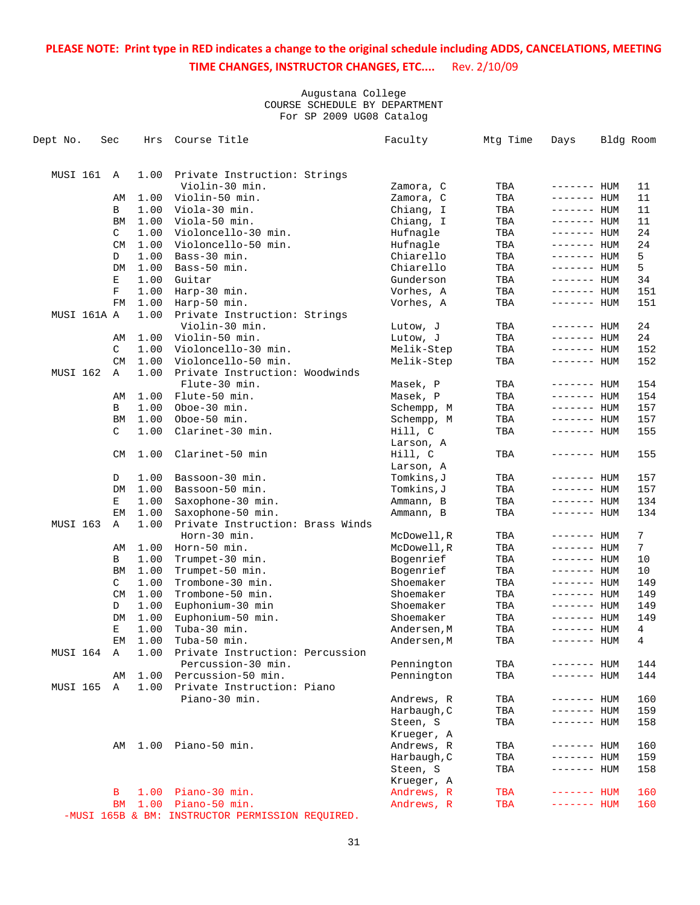| Dept No.        | Sec         | Hrs  | Course Title                                   | Faculty     | Mtg Time | Days               | Bldg Room       |
|-----------------|-------------|------|------------------------------------------------|-------------|----------|--------------------|-----------------|
| MUSI 161        | A           | 1.00 |                                                |             |          |                    |                 |
|                 |             |      | Private Instruction: Strings<br>Violin-30 min. | Zamora, C   | TBA      | ------- HUM        | 11              |
|                 | AΜ          | 1.00 | Violin-50 min.                                 | Zamora, C   | TBA      | ------- HUM        | 11              |
|                 | B           | 1.00 | Viola-30 min.                                  | Chiang, I   | TBA      | ------- HUM        | 11              |
|                 | <b>BM</b>   | 1.00 | Viola-50 min.                                  | Chiang, I   | TBA      | ------- HUM        | 11              |
|                 | C           | 1.00 | Violoncello-30 min.                            | Hufnagle    | TBA      | ------- HUM        | 24              |
|                 | CM          | 1.00 | Violoncello-50 min.                            | Hufnagle    | TBA      | ------- HUM        | 24              |
|                 | D           | 1.00 | Bass-30 min.                                   | Chiarello   | TBA      | ------- HUM        | 5               |
|                 | DM          | 1.00 | Bass-50 min.                                   | Chiarello   | TBA      | ------- HUM        | 5               |
|                 | Е           | 1.00 | Guitar                                         | Gunderson   | TBA      | ------- HUM        | 34              |
|                 | $\mathbf F$ | 1.00 | Harp-30 min.                                   | Vorhes, A   | TBA      | ------- HUM        | 151             |
|                 | FM          | 1.00 | Harp-50 min.                                   | Vorhes, A   | TBA      | ------- HUM        | 151             |
| MUSI 161A A     |             | 1.00 | Private Instruction: Strings                   |             |          |                    |                 |
|                 |             |      | Violin-30 min.                                 | Lutow, J    | TBA      | ------- HUM        | 24              |
|                 | AΜ          | 1.00 | Violin-50 min.                                 | Lutow, J    | TBA      | ------- HUM        | 24              |
|                 | C           | 1.00 | Violoncello-30 min.                            | Melik-Step  | TBA      | ------- HUM        | 152             |
|                 | <b>CM</b>   | 1.00 | Violoncello-50 min.                            | Melik-Step  | TBA      | ------- HUM        | 152             |
| <b>MUSI 162</b> | Α           | 1.00 | Private Instruction: Woodwinds                 |             |          |                    |                 |
|                 |             |      | Flute-30 min.                                  | Masek, P    | TBA      | ------- HUM        | 154             |
|                 | AΜ          | 1.00 | Flute-50 min.                                  | Masek, P    | TBA      | ------- HUM        | 154             |
|                 | B           | 1.00 | Oboe-30 min.                                   | Schempp, M  | TBA      | ------- HUM        | 157             |
|                 | BM          | 1.00 | Oboe-50 min.                                   | Schempp, M  | TBA      | ------- HUM        | 157             |
|                 | C           | 1.00 | Clarinet-30 min.                               | Hill, C     | TBA      | ------- HUM        | 155             |
|                 |             |      |                                                | Larson, A   |          |                    |                 |
|                 | <b>CM</b>   | 1.00 | Clarinet-50 min                                | Hill, C     | TBA      | ------- HUM        | 155             |
|                 |             |      |                                                | Larson, A   |          |                    |                 |
|                 | D           | 1.00 | Bassoon-30 min.                                | Tomkins,J   | TBA      | ------- HUM        | 157             |
|                 | DM          | 1.00 | Bassoon-50 min.                                | Tomkins,J   | TBA      | ------- <b>HUM</b> | 157             |
|                 | Е           | 1.00 | Saxophone-30 min.                              | Ammann, B   | TBA      | ------- HUM        | 134             |
|                 | EM          | 1.00 | Saxophone-50 min.                              | Ammann, B   | TBA      | ------- HUM        | 134             |
| MUSI 163        | Α           | 1.00 | Private Instruction: Brass Winds               |             |          |                    |                 |
|                 |             |      | Horn-30 min.                                   | McDowell,R  | TBA      | ------- HUM        | 7               |
|                 | AΜ          | 1.00 | Horn-50 min.                                   | McDowell, R | TBA      | ------- HUM        | $7\phantom{.0}$ |
|                 | B           | 1.00 | Trumpet-30 min.                                | Bogenrief   | TBA      | ------- HUM        | 10              |
|                 | BM          | 1.00 | Trumpet-50 min.                                | Bogenrief   | TBA      | ------- HUM        | 10              |
|                 | C           | 1.00 | Trombone-30 min.                               | Shoemaker   | TBA      | ------- HUM        | 149             |
|                 | <b>CM</b>   | 1.00 | Trombone-50 min.                               | Shoemaker   | TBA      | ------- HUM        | 149             |
|                 | D           | 1.00 | Euphonium-30 min                               | Shoemaker   | TBA      | ------- <b>HUM</b> | 149             |
|                 | DM          | 1.00 | Euphonium-50 min.                              | Shoemaker   | TBA      | ------- HUM        | 149             |
|                 | Е           | 1.00 | Tuba-30 min.                                   | Andersen, M | TBA      | ------- HUM        | 4               |
|                 | EM          | 1.00 | Tuba-50 min.                                   | Andersen,M  | TBA      | ------- HUM        | 4               |
| MUSI 164 A      |             | 1.00 | Private Instruction: Percussion                |             |          |                    |                 |
|                 |             |      | Percussion-30 min.                             | Pennington  | TBA      | ------- HUM        | 144             |
|                 | AΜ          | 1.00 | Percussion-50 min.                             | Pennington  | TBA      | ------- HUM        | 144             |
| <b>MUSI 165</b> | Α           | 1.00 | Private Instruction: Piano                     |             |          |                    |                 |
|                 |             |      | Piano-30 min.                                  | Andrews, R  | TBA      | ------- HUM        | 160             |
|                 |             |      |                                                | Harbaugh, C | TBA      | ------- HUM        | 159             |
|                 |             |      |                                                | Steen, S    | TBA      | ------- HUM        | 158             |
|                 |             |      |                                                | Krueger, A  |          |                    |                 |
|                 | AΜ          | 1.00 | Piano-50 min.                                  | Andrews, R  | TBA      | $------$ HUM       | 160             |
|                 |             |      |                                                | Harbaugh, C | TBA      | $------$ HUM       | 159             |
|                 |             |      |                                                | Steen, S    | TBA      | ------- HUM        | 158             |
|                 |             |      |                                                | Krueger, A  |          |                    |                 |
|                 | В           | 1.00 | Piano-30 min.                                  | Andrews, R  | TBA      | ------- HUM        | 160             |
|                 | BM          | 1.00 | Piano-50 min.<br>$\overline{\mathbf{u}}$       | Andrews, R  | TBA      | ------- HUM        | 160             |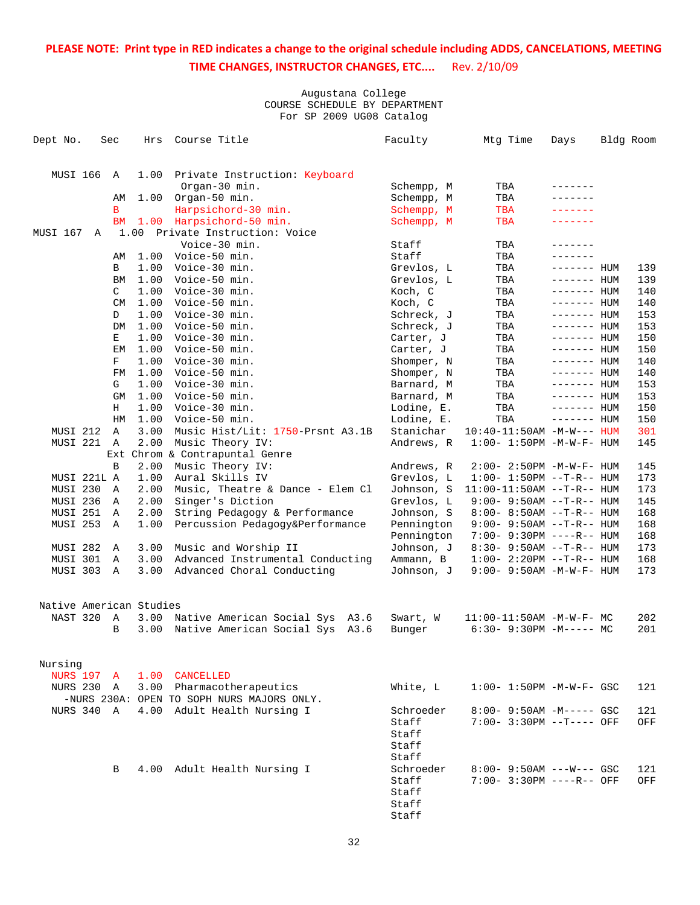| Dept No.                | Sec         | Hrs  | Course Title                                                | Faculty    | Mtg Time                          | Days          | Bldg Room |
|-------------------------|-------------|------|-------------------------------------------------------------|------------|-----------------------------------|---------------|-----------|
|                         |             |      |                                                             |            |                                   |               |           |
|                         |             |      |                                                             |            |                                   |               |           |
| MUSI 166 A              |             |      | 1.00 Private Instruction: Keyboard                          |            |                                   |               |           |
|                         |             |      | Organ-30 min.                                               | Schempp, M | TBA                               |               |           |
|                         | ΑМ          |      | $1.00$ Organ-50 min.                                        | Schempp, M | TBA                               | - - - - - - - |           |
|                         | В           |      | Harpsichord-30 min.                                         | Schempp, M | TBA                               | - - - - - - - |           |
|                         | BM          |      | 1.00 Harpsichord-50 min.<br>1.00 Private Instruction: Voice | Schempp, M | TBA                               |               |           |
| MUSI 167                | A           |      | Voice-30 min.                                               | Staff      | TBA                               |               |           |
|                         | AM          |      | 1.00 Voice-50 min.                                          | Staff      | TBA                               | -------       |           |
|                         | В           |      | $1.00$ Voice-30 min.                                        | Grevlos, L | TBA                               | ------- HUM   | 139       |
|                         | ΒM          |      | 1.00 Voice-50 min.                                          | Grevlos, L | TBA                               | ------- HUM   | 139       |
|                         | C           |      | 1.00 Voice-30 min.                                          | Koch, C    | TBA                               | ------- HUM   | 140       |
|                         |             |      | CM 1.00 Voice-50 min.                                       | Koch, C    | TBA                               | ------- HUM   | 140       |
|                         | D           |      | 1.00 Voice-30 min.                                          | Schreck, J | TBA                               | $------$ HUM  | 153       |
|                         | DM          | 1.00 | Voice-50 min.                                               | Schreck, J | TBA                               | ------- HUM   | 153       |
|                         | Е           |      | 1.00 Voice-30 min.                                          | Carter, J  | TBA                               | $------$ HUM  | 150       |
|                         | EM          | 1.00 | Voice-50 min.                                               | Carter, J  | TBA                               | $------$ HUM  | 150       |
|                         | F           | 1.00 | Voice-30 min.                                               | Shomper, N | TBA                               | ------- HUM   | 140       |
|                         | FM          |      | 1.00 Voice-50 min.                                          | Shomper, N | TBA                               | $------$ HUM  | 140       |
|                         | G           | 1.00 | Voice-30 min.                                               | Barnard, M | TBA                               | ------- HUM   | 153       |
|                         | GM          | 1.00 | Voice-50 min.                                               | Barnard, M | TBA                               | $------$ HUM  | 153       |
|                         | Н           | 1.00 | Voice-30 min.                                               | Lodine, E. | TBA                               | $------$ HUM  | 150       |
|                         | HM          | 1.00 | Voice-50 min.                                               | Lodine, E. | TBA                               | $------$ HUM  | 150       |
| MUSI 212                | Α           | 3.00 | Music Hist/Lit: 1750-Prsnt A3.1B                            | Stanichar  | $10:40-11:50AM -M-W---$ HUM       |               | 301       |
| MUSI 221 A              |             | 2.00 | Music Theory IV:                                            | Andrews, R | $1:00 - 1:50PM -M -W -F - HUM$    |               | 145       |
|                         |             |      | Ext Chrom & Contrapuntal Genre                              |            |                                   |               |           |
|                         | B           | 2.00 | Music Theory IV:                                            | Andrews, R | $2:00 - 2:50PM -M-W-F - HUM$      |               | 145       |
| MUSI 221L A             |             | 1.00 | Aural Skills IV                                             | Grevlos, L | $1:00 - 1:50PM -T-R-- HUM$        |               | 173       |
| MUSI 230                | Α           | 2.00 | Music, Theatre & Dance - Elem Cl                            | Johnson, S | $11:00-11:50AM$ --T-R-- HUM       |               | 173       |
| MUSI 236                | $\mathbb A$ | 2.00 | Singer's Diction                                            | Grevlos, L | $9:00 - 9:50AM -T-R-- HUM$        |               | 145       |
| MUSI 251                | Α           | 2.00 | String Pedagogy & Performance                               | Johnson, S | $8:00 - 8:50AM -T-R-- HUM$        |               | 168       |
| MUSI 253                | A           | 1.00 | Percussion Pedagogy&Performance                             | Pennington | $9:00 - 9:50AM -T-R-- HUM$        |               | 168       |
|                         |             |      |                                                             | Pennington | 7:00- 9:30PM ----R-- HUM          |               | 168       |
| MUSI 282                | A           | 3.00 | Music and Worship II                                        | Johnson, J | $8:30 - 9:50AM -T-R-- HUM$        |               | 173       |
| MUSI 301                | A           | 3.00 | Advanced Instrumental Conducting                            | Ammann, B  | $1:00 - 2:20PM -T-R--HUM$         |               | 168       |
| MUSI 303 A              |             | 3.00 | Advanced Choral Conducting                                  | Johnson, J | 9:00- 9:50AM -M-W-F- HUM          |               | 173       |
|                         |             |      |                                                             |            |                                   |               |           |
| Native American Studies |             |      |                                                             |            |                                   |               |           |
| NAST 320 A              |             |      | 3.00 Native American Social Sys A3.6                        | Swart, W   | $11:00-11:50AM$ -M-W-F- MC        |               | 202       |
|                         | B           | 3.00 | Native American Social Sys A3.6                             | Bunger     | $6:30-9:30PM -M--- MC$            |               | 201       |
|                         |             |      |                                                             |            |                                   |               |           |
|                         |             |      |                                                             |            |                                   |               |           |
| Nursing                 |             |      |                                                             |            |                                   |               |           |
| <b>NURS 197 A</b>       |             |      | 1.00 CANCELLED                                              |            |                                   |               |           |
| NURS 230 A              |             |      | 3.00 Pharmacotherapeutics                                   | White, L   | $1:00 - 1:50PM - M - W - F - GSC$ |               | 121       |
|                         |             |      | -NURS 230A: OPEN TO SOPH NURS MAJORS ONLY.                  |            |                                   |               |           |
| NURS 340 A              |             |      | 4.00 Adult Health Nursing I                                 | Schroeder  | $8:00 - 9:50AM - M--- GSC$        |               | 121       |
|                         |             |      |                                                             | Staff      | 7:00- 3:30PM --T---- OFF          |               | OFF       |
|                         |             |      |                                                             | Staff      |                                   |               |           |
|                         |             |      |                                                             | Staff      |                                   |               |           |
|                         |             |      |                                                             | Staff      |                                   |               |           |
|                         | B           |      | 4.00 Adult Health Nursing I                                 | Schroeder  | $8:00 - 9:50AM$ ---W--- GSC       |               | 121       |
|                         |             |      |                                                             | Staff      | 7:00- 3:30PM ----R-- OFF          |               | OFF       |
|                         |             |      |                                                             | Staff      |                                   |               |           |
|                         |             |      |                                                             | Staff      |                                   |               |           |
|                         |             |      |                                                             | Staff      |                                   |               |           |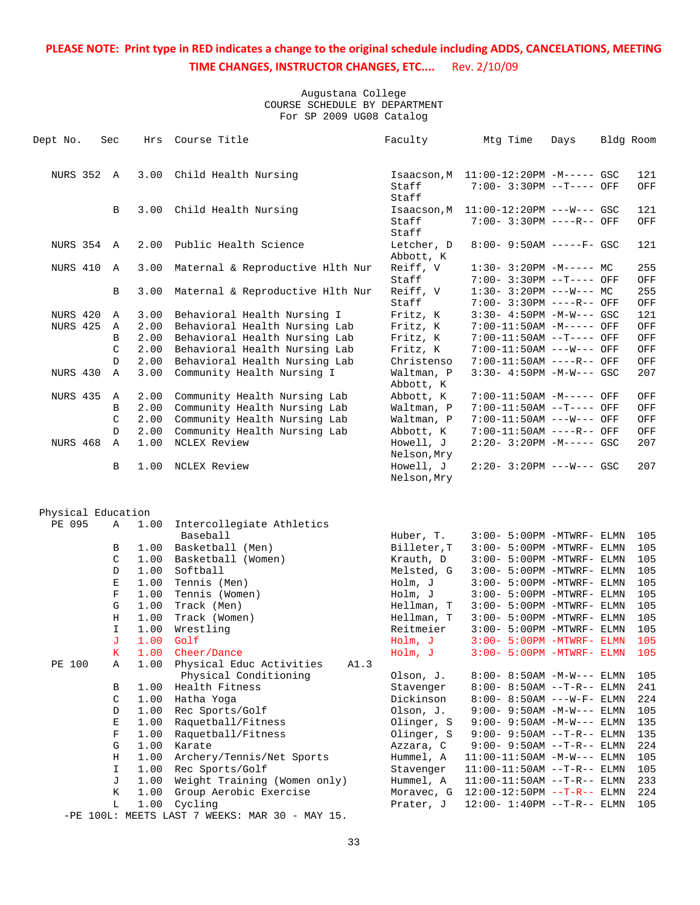| Dept No.                     | Sec          | Hrs          | Course Title                                           | Faculty                 | Mtg Time                                                     | Days | Bldg Room |            |
|------------------------------|--------------|--------------|--------------------------------------------------------|-------------------------|--------------------------------------------------------------|------|-----------|------------|
|                              |              |              |                                                        |                         |                                                              |      |           |            |
| NURS 352 A                   |              | 3.00         | Child Health Nursing                                   | Isaacson,M              | 11:00-12:20PM -M----- GSC                                    |      |           | 121        |
|                              |              |              |                                                        | Staff                   | 7:00- 3:30PM --T---- OFF                                     |      |           | OFF        |
|                              |              |              |                                                        | Staff                   |                                                              |      |           |            |
|                              | B            | 3.00         | Child Health Nursing                                   | Isaacson,M              | $11:00-12:20PM$ ---W--- GSC                                  |      |           | 121        |
|                              |              |              |                                                        | Staff                   | 7:00- 3:30PM ----R-- OFF                                     |      |           | OFF        |
|                              |              |              |                                                        | Staff                   |                                                              |      |           |            |
| <b>NURS 354 A</b>            |              | 2.00         | Public Health Science                                  | Letcher, D              | 8:00- 9:50AM -----F- GSC                                     |      |           | 121        |
|                              |              |              |                                                        | Abbott, K               |                                                              |      |           |            |
| NURS 410                     | A            | 3.00         | Maternal & Reproductive Hlth Nur                       | Reiff, V<br>Staff       | $1:30-3:20PM -M--- MC$<br>7:00- 3:30PM --T---- OFF           |      |           | 255<br>OFF |
|                              | В            | 3.00         | Maternal & Reproductive Hlth Nur                       | Reiff, V                | $1:30-3:20PM$ ---W--- MC                                     |      |           | 255        |
|                              |              |              |                                                        | Staff                   | 7:00- 3:30PM ----R-- OFF                                     |      |           | OFF        |
| NURS 420                     | Α            | 3.00         | Behavioral Health Nursing I                            | Fritz, K                | $3:30-4:50PM -M-W--- GSC$                                    |      |           | 121        |
| <b>NURS 425</b>              | Α            | 2.00         | Behavioral Health Nursing Lab                          | Fritz, K                | 7:00-11:50AM -M----- OFF                                     |      |           | OFF        |
|                              | В            | 2.00         | Behavioral Health Nursing Lab                          | Fritz, K                | 7:00-11:50AM --T---- OFF                                     |      |           | OFF        |
|                              | C            | 2.00         | Behavioral Health Nursing Lab                          | Fritz, K                | 7:00-11:50AM ---W--- OFF                                     |      |           | OFF        |
|                              | D            | 2.00         | Behavioral Health Nursing Lab                          | Christenso              | 7:00-11:50AM ----R-- OFF                                     |      |           | OFF        |
| NURS 430                     | A            | 3.00         | Community Health Nursing I                             | Waltman, P              | $3:30 - 4:50PM -M-W--- GSC$                                  |      |           | 207        |
|                              |              |              |                                                        | Abbott, K               |                                                              |      |           |            |
| NURS 435                     | Α            | 2.00         | Community Health Nursing Lab                           | Abbott, K               | 7:00-11:50AM -M----- OFF                                     |      |           | OFF        |
|                              | В            | 2.00         | Community Health Nursing Lab                           | Waltman, P              | 7:00-11:50AM --T---- OFF                                     |      |           | OFF        |
|                              | C            | 2.00         | Community Health Nursing Lab                           | Waltman, P              | 7:00-11:50AM ---W--- OFF                                     |      |           | OFF        |
|                              | D            | 2.00         | Community Health Nursing Lab                           | Abbott, K               | 7:00-11:50AM ----R-- OFF                                     |      |           | OFF        |
| <b>NURS 468</b>              | $\mathbb{A}$ | 1.00         | NCLEX Review                                           | Howell, J               | $2:20 - 3:20PM -M--- GSC$                                    |      |           | 207        |
|                              |              |              |                                                        | Nelson, Mry             |                                                              |      |           |            |
|                              | B            | 1.00         | NCLEX Review                                           | Howell, J               | $2:20-3:20PM$ ---W--- GSC                                    |      |           | 207        |
|                              |              |              |                                                        | Nelson, Mry             |                                                              |      |           |            |
|                              |              |              |                                                        |                         |                                                              |      |           |            |
| Physical Education<br>PE 095 | Α            | 1.00         | Intercollegiate Athletics                              |                         |                                                              |      |           |            |
|                              |              |              | Baseball                                               | Huber, T.               | $3:00 - 5:00$ PM -MTWRF- ELMN                                |      |           | 105        |
|                              | В            | 1.00         | Basketball (Men)                                       | Billeter, T             | $3:00 - 5:00$ PM -MTWRF- ELMN                                |      |           | 105        |
|                              | C            | 1.00         | Basketball (Women)                                     | Krauth, D               | $3:00 - 5:00$ PM -MTWRF- ELMN                                |      |           | 105        |
|                              | $\mathbb D$  | 1.00         | Softball                                               | Melsted, G              | $3:00 - 5:00$ PM -MTWRF- ELMN                                |      |           | 105        |
|                              | E            | 1.00         | Tennis (Men)                                           | Holm, J                 | $3:00 - 5:00$ PM -MTWRF- ELMN                                |      |           | 105        |
|                              | $\mathbf F$  | 1.00         | Tennis (Women)                                         | Holm, J                 | $3:00-5:00$ PM -MTWRF- ELMN                                  |      |           | 105        |
|                              | G            | 1.00         | Track (Men)                                            | Hellman, T              | $3:00-5:00$ PM -MTWRF- ELMN                                  |      |           | 105        |
|                              | Η            | 1.00         | Track (Women)                                          | Hellman, T              | $3:00 - 5:00$ PM -MTWRF- ELMN                                |      |           | 105        |
|                              | I            | 1.00         | Wrestling                                              | Reitmeier               | $3:00 - 5:00$ PM -MTWRF- ELMN                                |      |           | 105        |
|                              | J            | 1.00         | Golf                                                   | Holm, J                 | $3:00-5:00PM -MTWRF-ELMN$                                    |      |           | 105        |
|                              | $\rm K$      | 1.00         | Cheer/Dance                                            | Holm, J                 | $3:00 - 5:00PM - MTWRF - ELMN$                               |      |           | 105        |
| PE 100                       | Α            | 1.00         | Physical Educ Activities<br>A1.3                       |                         |                                                              |      |           |            |
|                              |              |              | Physical Conditioning                                  | Olson, J.               | 8:00- 8:50AM -M-W--- ELMN                                    |      |           | 105        |
|                              | В            | 1.00         | Health Fitness                                         | Stavenger               | $8:00 - 8:50AM -T-R-- ELMN$                                  |      |           | 241        |
|                              | C            | 1.00         | Hatha Yoga                                             | Dickinson               | $8:00 - 8:50AM$ ---W-F- ELMN                                 |      |           | 224        |
|                              | D            | 1.00         | Rec Sports/Golf                                        | Olson, J.               | $9:00 - 9:50AM - M-W---$ ELMN                                |      |           | 105        |
|                              | Ε            | 1.00         | Raquetball/Fitness                                     | Olinger, S              | $9:00 - 9:50AM -M-W---$ ELMN                                 |      |           | 135        |
|                              | $\mathbf F$  | 1.00         | Raquetball/Fitness                                     | Olinger, S              | $9:00 - 9:50AM -T-R--ELMN$                                   |      |           | 135        |
|                              | G            | 1.00<br>1.00 | Karate                                                 | Azzara, C               | $9:00 - 9:50AM -T-R--ELMN$                                   |      |           | 224        |
|                              | Η<br>I.      |              | Archery/Tennis/Net Sports                              | Hummel, A<br>Stavenger  | $11:00-11:50AM$ -M-W--- ELMN                                 |      |           | 105        |
|                              | J            | 1.00<br>1.00 | Rec Sports/Golf                                        |                         | $11:00-11:50AM$ --T-R-- ELMN                                 |      |           | 105        |
|                              | Κ            | 1.00         | Weight Training (Women only)<br>Group Aerobic Exercise | Hummel, A<br>Moravec, G | $11:00-11:50AM$ --T-R-- ELMN<br>$12:00-12:50PM$ --T-R-- ELMN |      |           | 233<br>224 |
|                              | L            | 1.00         | Cycling                                                | Prater, J               | $12:00 - 1:40PM -T-R-- ELMN$                                 |      |           | 105        |
|                              |              |              | -PE 100L: MEETS LAST 7 WEEKS: MAR 30 - MAY 15.         |                         |                                                              |      |           |            |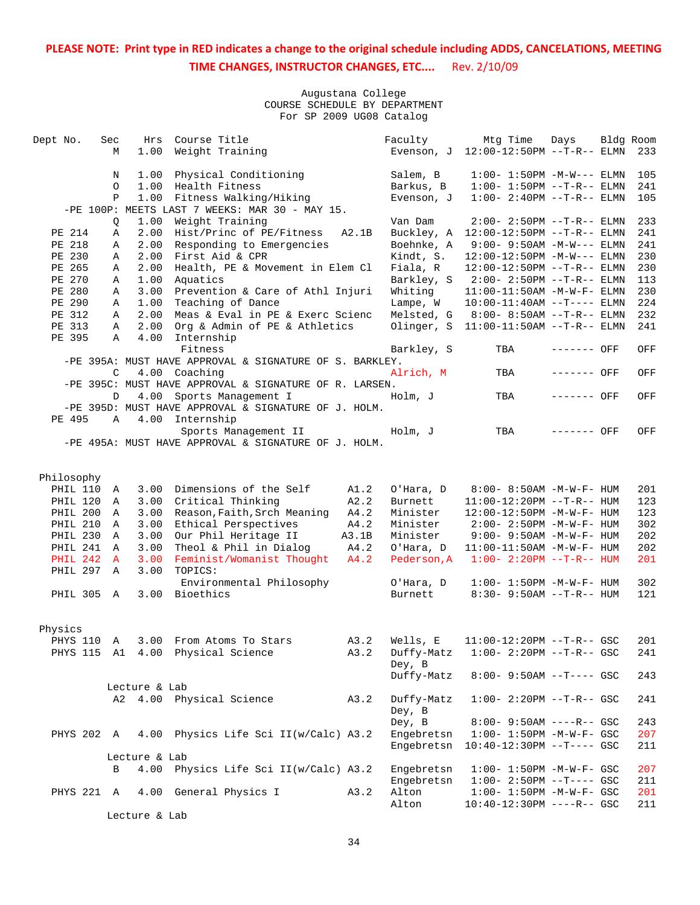| Dept No.             | Sec<br>М       | Hrs<br>1.00   | Course Title<br>Weight Training                                          |              | Faculty                | Mtg Time<br>Evenson, J 12:00-12:50PM --T-R-- ELMN           | Days        | Bldg Room | 233        |
|----------------------|----------------|---------------|--------------------------------------------------------------------------|--------------|------------------------|-------------------------------------------------------------|-------------|-----------|------------|
|                      | Ν              | 1.00          | Physical Conditioning                                                    |              | Salem, B               | $1:00 - 1:50PM -M-W---$ ELMN                                |             |           | 105        |
|                      | 0              | 1.00          | Health Fitness                                                           |              | Barkus, B              | $1:00 - 1:50PM -T-R-- ELMN$                                 |             |           | 241        |
|                      | $\, {\bf P}$   | 1.00          | Fitness Walking/Hiking<br>-PE 100P: MEETS LAST 7 WEEKS: MAR 30 - MAY 15. |              | Evenson, J             | $1:00 - 2:40PM -T-R-- ELMN$                                 |             |           | 105        |
|                      | Q              | 1.00          | Weight Training                                                          |              | Van Dam                | $2:00 - 2:50PM -T-R-- ELMN$                                 |             |           | 233        |
| PE 214               | Α              | 2.00          | Hist/Princ of PE/Fitness                                                 | A2.1B        | Buckley, A             | $12:00-12:50PM$ --T-R-- ELMN                                |             |           | 241        |
| PE 218               | Α              | 2.00          | Responding to Emergencies                                                |              | Boehnke, A             | $9:00 - 9:50AM - M-W---$ ELMN                               |             |           | 241        |
| PE 230               | Α              | 2.00          | First Aid & CPR                                                          |              | Kindt, S.              | $12:00-12:50PM -M-W---$ ELMN                                |             |           | 230        |
| PE 265               | Α              | 2.00          | Health, PE & Movement in Elem Cl                                         |              | Fiala, R               | 12:00-12:50PM --T-R-- ELMN                                  |             |           | 230        |
| PE 270               | Α              | 1.00          | Aquatics                                                                 |              | Barkley, S             | $2:00 - 2:50PM -T-R-- ELMN$<br>11:00-11:50AM -M-W-F- ELMN   |             |           | 113        |
| PE 280<br>PE 290     | A              | 3.00<br>1.00  | Prevention & Care of Athl Injuri<br>Teaching of Dance                    |              | Whiting                | $10:00-11:40AM$ --T---- ELMN                                |             |           | 230<br>224 |
| PE 312               | Α<br>Α         | 2.00          | Meas & Eval in PE & Exerc Scienc                                         |              | Lampe, W<br>Melsted, G | 8:00- 8:50AM --T-R-- ELMN                                   |             |           | 232        |
| PE 313               | Α              | 2.00          | Org & Admin of PE & Athletics                                            |              | Olinger, S             | $11:00-11:50AM$ --T-R-- ELMN                                |             |           | 241        |
| PE 395               | Α              | 4.00          | Internship                                                               |              |                        |                                                             |             |           |            |
|                      |                |               | Fitness                                                                  |              | Barkley, S             | TBA                                                         | ------- OFF |           | OFF        |
|                      |                |               | -PE 395A: MUST HAVE APPROVAL & SIGNATURE OF S. BARKLEY.                  |              |                        |                                                             |             |           |            |
|                      | C              | 4.00          | Coaching                                                                 |              | Alrich, M              | TBA                                                         | ------- OFF |           | OFF        |
|                      |                |               | -PE 395C: MUST HAVE APPROVAL & SIGNATURE OF R. LARSEN.                   |              |                        |                                                             |             |           |            |
|                      | D              |               | 4.00 Sports Management I                                                 |              | Holm, J                | TBA                                                         | ------- OFF |           | OFF        |
|                      |                |               | -PE 395D: MUST HAVE APPROVAL & SIGNATURE OF J. HOLM.                     |              |                        |                                                             |             |           |            |
| PE 495               |                |               | A 4.00 Internship                                                        |              |                        |                                                             |             |           |            |
|                      |                |               | Sports Management II                                                     |              | Holm, J                | TBA                                                         | ------- OFF |           | OFF        |
|                      |                |               | -PE 495A: MUST HAVE APPROVAL & SIGNATURE OF J. HOLM.                     |              |                        |                                                             |             |           |            |
|                      |                |               |                                                                          |              |                        |                                                             |             |           |            |
|                      |                |               |                                                                          |              |                        |                                                             |             |           |            |
| Philosophy           |                |               | Dimensions of the Self                                                   |              |                        |                                                             |             |           |            |
| PHIL 110<br>PHIL 120 | A<br>A         | 3.00<br>3.00  | Critical Thinking                                                        | A1.2<br>A2.2 | O'Hara, D<br>Burnett   | 8:00- 8:50AM -M-W-F- HUM<br>$11:00-12:20PM$ --T-R-- HUM     |             |           | 201<br>123 |
| PHIL 200             | A              | 3.00          | Reason, Faith, Srch Meaning                                              | A4.2         | Minister               | 12:00-12:50PM -M-W-F- HUM                                   |             |           | 123        |
| PHIL 210             | Α              | 3.00          | Ethical Perspectives                                                     | A4.2         | Minister               | $2:00 - 2:50PM -M-W-F - HUM$                                |             |           | 302        |
| PHIL 230             | A              | 3.00          | Our Phil Heritage II                                                     | A3.1B        | Minister               | 9:00- 9:50AM -M-W-F- HUM                                    |             |           | 202        |
| PHIL 241             | $\overline{A}$ | 3.00          | Theol & Phil in Dialog                                                   | A4.2         | O'Hara, D              | $11:00-11:50AM$ -M-W-F- HUM                                 |             |           | 202        |
| <b>PHIL 242</b>      | $\mathbf{A}$   | 3.00          | Feminist/Womanist Thought                                                | A4.2         | Pederson, A            | $1:00 - 2:20PM -T-R-- HUM$                                  |             |           | 201        |
| PHIL 297             | Α              | 3.00          | TOPICS:                                                                  |              |                        |                                                             |             |           |            |
|                      |                |               | Environmental Philosophy                                                 |              | O'Hara, D              | $1:00 - 1:50PM - M - W - F - HUM$                           |             |           | 302        |
| PHIL 305 A           |                |               | 3.00 Bioethics                                                           |              | Burnett                | $8:30 - 9:50AM -T-R-- HUM$                                  |             |           | 121        |
|                      |                |               |                                                                          |              |                        |                                                             |             |           |            |
|                      |                |               |                                                                          |              |                        |                                                             |             |           |            |
| Physics              |                |               |                                                                          |              |                        |                                                             |             |           |            |
| PHYS 110             |                |               | A 3.00 From Atoms To Stars                                               | A3.2         | Wells, E               | 11:00-12:20PM --T-R-- GSC                                   |             |           | 201        |
|                      |                |               | PHYS 115 A1 4.00 Physical Science                                        | A3.2         | Duffy-Matz             | $1:00 - 2:20PM -T-R--GSC$                                   |             |           | 241        |
|                      |                |               |                                                                          |              | Dey, B                 |                                                             |             |           |            |
|                      |                |               |                                                                          |              | Duffy-Matz             | 8:00- 9:50AM --T---- GSC                                    |             |           | 243        |
|                      |                | Lecture & Lab |                                                                          |              |                        |                                                             |             |           |            |
|                      |                |               | A2 4.00 Physical Science                                                 | A3.2         | Duffy-Matz             | $1:00 - 2:20PM -T-R--$ GSC                                  |             |           | 241        |
|                      |                |               |                                                                          |              | Dey, B                 |                                                             |             |           |            |
|                      |                |               |                                                                          |              | Dey, B                 | $8:00 - 9:50AM$ ----R-- GSC                                 |             |           | 243        |
| PHYS 202 A           |                |               | 4.00 Physics Life Sci II(w/Calc) A3.2                                    |              | Engebretsn             | $1:00 - 1:50PM - M - W - F - GSC$                           |             |           | 207        |
|                      |                |               |                                                                          |              | Engebretsn             | $10:40-12:30PM$ --T---- GSC                                 |             |           | 211        |
|                      |                | Lecture & Lab |                                                                          |              |                        |                                                             |             |           |            |
|                      | B              |               | 4.00 Physics Life Sci II(w/Calc) A3.2                                    |              | Engebretsn             | $1:00 - 1:50PM - M - W - F - GSC$                           |             |           | 207        |
| PHYS 221 A           |                |               | 4.00 General Physics I                                                   | A3.2         | Engebretsn<br>Alton    | $1:00-2:50PM -T---GSC$<br>$1:00 - 1:50PM - M - W - F - GSC$ |             |           | 211<br>201 |
|                      |                |               |                                                                          |              | Alton                  | 10:40-12:30PM ----R-- GSC                                   |             |           | 211        |
|                      |                | Lecture & Lab |                                                                          |              |                        |                                                             |             |           |            |
|                      |                |               |                                                                          |              |                        |                                                             |             |           |            |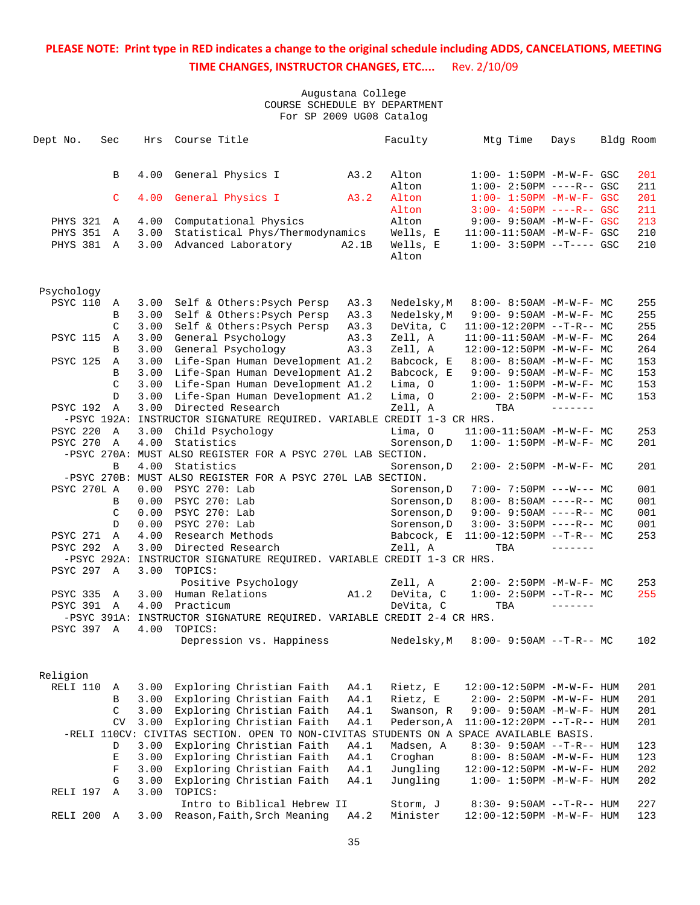| Dept No.               | Sec            | Hrs          | Course Title                                                                           |       | Faculty              | Mtg Time                                                         | Days | Bldg Room |            |
|------------------------|----------------|--------------|----------------------------------------------------------------------------------------|-------|----------------------|------------------------------------------------------------------|------|-----------|------------|
|                        | B              | 4.00         | General Physics I                                                                      | A3.2  | Alton<br>Alton       | $1:00 - 1:50PM - M - W - F - GSC$<br>$1:00-2:50PM$ ----R-- GSC   |      |           | 201<br>211 |
|                        | C              | 4.00         | General Physics I                                                                      | A3.2  | Alton<br>Alton       | $1:00 - 1:50PM - M - W - F - GSC$<br>$3:00 - 4:50PM$ ----R-- GSC |      |           | 201<br>211 |
| PHYS 321 A<br>PHYS 351 | $\overline{A}$ | 4.00<br>3.00 | Computational Physics<br>Statistical Phys/Thermodynamics                               |       | Alton<br>Wells, E    | $9:00 - 9:50AM - M - W - F - GSC$<br>$11:00-11:50AM$ -M-W-F- GSC |      |           | 213<br>210 |
| PHYS 381 A             |                | 3.00         | Advanced Laboratory                                                                    | A2.1B | Wells, E<br>Alton    | $1:00-3:50PM -T---GSC$                                           |      |           | 210        |
| Psychology             |                |              |                                                                                        |       |                      |                                                                  |      |           |            |
| PSYC 110               | A              |              | 3.00 Self & Others: Psych Persp                                                        | A3.3  | Nedelsky, M          | $8:00 - 8:50AM - M - W - F - MC$                                 |      |           | 255        |
|                        | B              | 3.00         | Self & Others:Psych Persp                                                              | A3.3  | Nedelsky, M          | 9:00- 9:50AM -M-W-F- MC                                          |      |           | 255        |
|                        | C              | 3.00         | Self & Others:Psych Persp                                                              | A3.3  | DeVita, C            | $11:00-12:20PM$ --T-R-- MC                                       |      |           | 255        |
| <b>PSYC 115</b>        | A              | 3.00         | General Psychology                                                                     | A3.3  | Zell, A              | $11:00-11:50AM$ -M-W-F- MC                                       |      |           | 264        |
|                        | B              | 3.00         | General Psychology                                                                     | A3.3  | Zell, A              | 12:00-12:50PM -M-W-F- MC                                         |      |           | 264        |
| <b>PSYC 125</b>        | Α              | 3.00         | Life-Span Human Development A1.2                                                       |       | Babcock, E           | $8:00 - 8:50AM - M - W - F - MC$                                 |      |           | 153        |
|                        | B              | 3.00         | Life-Span Human Development A1.2                                                       |       | Babcock, E           | $9:00 - 9:50AM - M - W - F - MC$                                 |      |           | 153        |
|                        | $\mathcal{C}$  | 3.00         | Life-Span Human Development A1.2                                                       |       | Lima, 0              | $1:00 - 1:50PM - M - W - F - MC$                                 |      |           | 153        |
|                        | D              | 3.00         | Life-Span Human Development A1.2                                                       |       | Lima, 0              | 2:00- 2:50PM -M-W-F- MC                                          |      |           | 153        |
| PSYC 192               | A              | 3.00         | Directed Research                                                                      |       | Zell, A              | TBA                                                              |      |           |            |
|                        |                |              | -PSYC 192A: INSTRUCTOR SIGNATURE REQUIRED. VARIABLE CREDIT 1-3 CR HRS.                 |       |                      |                                                                  |      |           |            |
| <b>PSYC 220 A</b>      |                | 3.00         | Child Psychology                                                                       |       | Lima, O              | $11:00-11:50AM$ -M-W-F- MC                                       |      |           | 253        |
| PSYC 270 A             |                | 4.00         | Statistics                                                                             |       | Sorenson, D          | $1:00 - 1:50PM - M - W - F - MC$                                 |      |           | 201        |
|                        |                |              | -PSYC 270A: MUST ALSO REGISTER FOR A PSYC 270L LAB SECTION.                            |       |                      |                                                                  |      |           |            |
|                        | B              | 4.00         | Statistics                                                                             |       | Sorenson, D          | $2:00-2:50PM -M-W-F-MC$                                          |      |           | 201        |
|                        |                |              | -PSYC 270B: MUST ALSO REGISTER FOR A PSYC 270L LAB SECTION.                            |       |                      |                                                                  |      |           |            |
| PSYC 270L A            |                | 0.00         | PSYC 270: Lab                                                                          |       | Sorenson, D          | $7:00 - 7:50PM$ ---W--- MC                                       |      |           | 001        |
|                        | B              | 0.00         | PSYC 270: Lab                                                                          |       | Sorenson, D          | $8:00 - 8:50AM$ ----R-- MC                                       |      |           | 001        |
|                        | C              | 0.00         | PSYC 270: Lab                                                                          |       | Sorenson, D          | $9:00 - 9:50AM$ ----R-- MC                                       |      |           | 001        |
|                        | D              | 0.00         | PSYC 270: Lab                                                                          |       | Sorenson, D          | $3:00 - 3:50PM$ ----R-- MC                                       |      |           | 001        |
| <b>PSYC 271</b>        | $\overline{A}$ | 4.00         | Research Methods                                                                       |       | Babcock, E           | $11:00-12:50PM$ --T-R-- MC                                       |      |           | 253        |
| <b>PSYC 292</b>        | $\mathbb A$    | 3.00         | Directed Research                                                                      |       | Zell, A              | TBA                                                              |      |           |            |
|                        |                |              | -PSYC 292A: INSTRUCTOR SIGNATURE REQUIRED. VARIABLE CREDIT 1-3 CR HRS.                 |       |                      |                                                                  |      |           |            |
| <b>PSYC 297 A</b>      |                | 3.00         | TOPICS:                                                                                |       |                      |                                                                  |      |           |            |
|                        |                |              | Positive Psychology                                                                    |       | Zell, A              | $2:00-2:50PM -M-W-F-MC$                                          |      |           | 253        |
| <b>PSYC 335</b>        | A              | 3.00         | Human Relations                                                                        | A1.2  | DeVita, C            | $1:00-2:50PM -T-R--MC$                                           |      |           | 255        |
| <b>PSYC 391 A</b>      |                |              | 4.00 Practicum                                                                         |       | DeVita, C            | TBA                                                              |      |           |            |
|                        |                |              | -PSYC 391A: INSTRUCTOR SIGNATURE REQUIRED. VARIABLE CREDIT 2-4 CR HRS.                 |       |                      |                                                                  |      |           |            |
| PSYC 397 A             |                | 4.00         | TOPICS:                                                                                |       |                      |                                                                  |      |           |            |
|                        |                |              | Depression vs. Happiness                                                               |       | Nedelsky, M          | $8:00-9:50AM --T-R--MC$                                          |      |           | 102        |
| Religion               |                |              |                                                                                        |       |                      |                                                                  |      |           |            |
| RELI 110               | Α              | 3.00         | Exploring Christian Faith                                                              | A4.1  | Rietz, E             | 12:00-12:50PM -M-W-F- HUM                                        |      |           | 201        |
|                        | B              | 3.00         | Exploring Christian Faith                                                              | A4.1  | Rietz, E             | $2:00 - 2:50PM -M-W-F - HUM$                                     |      |           | 201        |
|                        | C              | 3.00         | Exploring Christian Faith                                                              | A4.1  | Swanson, R           | $9:00 - 9:50AM - M - W - F - HUM$                                |      |           | 201        |
|                        | <b>CV</b>      | 3.00         | Exploring Christian Faith                                                              | A4.1  | Pederson, A          | $11:00-12:20PM$ --T-R-- HUM                                      |      |           | 201        |
|                        |                |              | -RELI 110CV: CIVITAS SECTION. OPEN TO NON-CIVITAS STUDENTS ON A SPACE AVAILABLE BASIS. |       |                      |                                                                  |      |           |            |
|                        | D              | 3.00         | Exploring Christian Faith                                                              | A4.1  | Madsen, A            | 8:30- 9:50AM --T-R-- HUM                                         |      |           | 123        |
|                        | Ε              | 3.00         | Exploring Christian Faith                                                              | A4.1  | Croghan              | 8:00- 8:50AM -M-W-F- HUM                                         |      |           | 123        |
|                        | $\mathbf F$    | 3.00         | Exploring Christian Faith                                                              | A4.1  | Jungling             | 12:00-12:50PM -M-W-F- HUM                                        |      |           | 202        |
|                        | G              | 3.00         | Exploring Christian Faith                                                              | A4.1  | Jungling             | $1:00 - 1:50PM - M - W - F - HUM$                                |      |           | 202        |
| RELI 197               | $\mathbb{A}$   | 3.00         | TOPICS:<br>Intro to Biblical Hebrew II                                                 |       |                      |                                                                  |      |           |            |
| RELI 200 A             |                | 3.00         | Reason, Faith, Srch Meaning                                                            | A4.2  | Storm, J<br>Minister | $8:30 - 9:50AM -T-R-- HUM$<br>12:00-12:50PM -M-W-F- HUM          |      |           | 227<br>123 |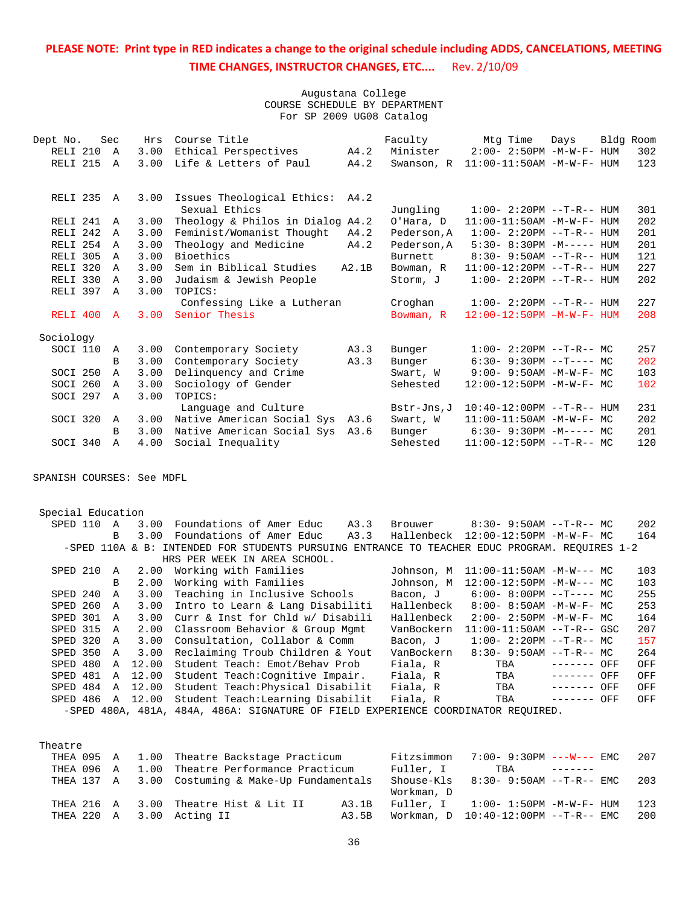Augustana College COURSE SCHEDULE BY DEPARTMENT For SP 2009 UG08 Catalog

| Dept No.            | Sec            | Hrs  | Course Title                                |       | Faculty     | Mtg Time                             | Days | Bldg Room |     |
|---------------------|----------------|------|---------------------------------------------|-------|-------------|--------------------------------------|------|-----------|-----|
| RELI 210            | A              | 3.00 | Ethical Perspectives                        | A4.2  | Minister    | $2:00 - 2:50PM -M-W-F - HUM$         |      |           | 302 |
| RELI 215            | $\mathbb{A}$   | 3.00 | Life & Letters of Paul                      | A4.2  |             | Swanson, R 11:00-11:50AM -M-W-F- HUM |      |           | 123 |
| RELI <sub>235</sub> | $\mathsf{A}$   | 3.00 |                                             | A4.2  |             |                                      |      |           |     |
|                     |                |      | Issues Theological Ethics:<br>Sexual Ethics |       | Jungling    | $1:00 - 2:20PM -T-R--HUM$            |      |           | 301 |
| RELI 241            | $\mathbb{A}$   | 3.00 | Theology & Philos in Dialog A4.2            |       | O'Hara, D   | $11:00-11:50AM$ $-M-W-F-$ HUM        |      |           | 202 |
| RELI 242            | $\mathbb{A}$   | 3.00 | Feminist/Womanist Thought                   | A4.2  | Pederson, A | $1:00 - 2:20PM -T-R--HUM$            |      |           | 201 |
| RELI 254            | $\Delta$       | 3.00 | Theology and Medicine                       | A4.2  | Pederson.A  | $5:30-8:30PM -M--- HUM$              |      |           | 201 |
| RELI 305            | $\mathbb{A}$   | 3.00 | Bioethics                                   |       | Burnett     | $8:30 - 9:50AM -T-R-$ HUM            |      |           | 121 |
| RELI 320            | $\mathbb{A}$   | 3.00 | Sem in Biblical Studies                     | A2.1B | Bowman, R   | $11:00-12:20PM --T-R--HUM$           |      |           | 227 |
| RELI 330            | Α              | 3.00 | Judaism & Jewish People                     |       | Storm, J    | $1:00 - 2:20PM -T-R--HUM$            |      |           | 202 |
| RELI 397            | $\mathbb{A}$   | 3.00 | TOPICS:                                     |       |             |                                      |      |           |     |
|                     |                |      | Confessing Like a Lutheran                  |       | Croghan     | $1:00 - 2:20PM -T-R--HUM$            |      |           | 227 |
| RELI <sub>400</sub> | $\overline{A}$ | 3.00 | Senior Thesis                               |       | Bowman, R   | $12:00-12:50PM -M-W-F-$ HUM          |      |           | 208 |
| Sociology           |                |      |                                             |       |             |                                      |      |           |     |
| SOCI 110            | A              | 3.00 | Contemporary Society                        | A3.3  | Bunger      | $1:00 - 2:20PM -T-R--MC$             |      |           | 257 |
|                     | B              | 3.00 | Contemporary Society                        | A3.3  | Bunger      | $6:30 - 9:30PM -T--- MC$             |      |           | 202 |
| SOCI 250            | $\mathbb{A}$   | 3.00 | Delinquency and Crime                       |       | Swart, W    | $9:00 - 9:50AM - M-W-F - MC$         |      |           | 103 |
| SOCI 260            | $\mathbb{A}$   | 3.00 | Sociology of Gender                         |       | Sehested    | 12:00-12:50PM -M-W-F- MC             |      |           | 102 |
| SOCI 297            | $\mathbb{A}$   | 3.00 | TOPICS:                                     |       |             |                                      |      |           |     |
|                     |                |      | Language and Culture                        |       | Bstr-Jns, J | $10:40-12:00PM$ --T-R-- HUM          |      |           | 231 |
| SOCI 320            | A              | 3.00 | Native American Social Sys A3.6             |       | Swart, W    | $11:00-11:50AM -M-W-F-MC$            |      |           | 202 |
|                     | <sub>R</sub>   | 3.00 | Native American Social Sys A3.6             |       | Bunger      | $6:30 - 9:30PM -M--- MC$             |      |           | 201 |
| SOCI 340            | $\mathbb{A}$   | 4.00 | Social Inequality                           |       | Sehested    | $11:00-12:50PM$ --T-R-- MC           |      |           | 120 |

SPANISH COURSES: See MDFL

| Special Education                     |                                                                                               |            |                                     |              |     |
|---------------------------------------|-----------------------------------------------------------------------------------------------|------------|-------------------------------------|--------------|-----|
| SPED 110<br>$\overline{A}$            | 3.00 Foundations of Amer Educ<br>A3.3                                                         | Brouwer    | 8:30- 9:50AM --T-R-- MC             |              | 202 |
| 3.00<br><sub>R</sub>                  | A3.3<br>Foundations of Amer Educ                                                              |            | Hallenbeck 12:00-12:50PM -M-W-F- MC |              | 164 |
|                                       | -SPED 110A & B: INTENDED FOR STUDENTS PURSUING ENTRANCE TO TEACHER EDUC PROGRAM. REOUIRES 1-2 |            |                                     |              |     |
|                                       | HRS PER WEEK IN AREA SCHOOL.                                                                  |            |                                     |              |     |
| SPED 210 A<br>2.00                    | Working with Families                                                                         | Johnson, M | $11:00-11:50AM$ $-M-W---$ MC        |              | 103 |
| 2.00<br>B                             | Working with Families                                                                         | Johnson, M | 12:00-12:50PM -M-W--- MC            |              | 103 |
| 3.00<br>SPED 240<br>A                 | Teaching in Inclusive Schools                                                                 | Bacon, J   | $6:00 - 8:00PM -T--- MC$            |              | 255 |
| SPED 260<br>3.00<br>$\overline{A}$    | Intro to Learn & Lang Disabiliti                                                              | Hallenbeck | $8:00 - 8:50AM - M - W - F - MC$    |              | 253 |
| SPED 301<br>3.00<br>A                 | Curr & Inst for Chld w/ Disabili                                                              | Hallenbeck | $2:00 - 2:50PM - M - W - F - MC$    |              | 164 |
| SPED 315<br>2.00<br>A                 | Classroom Behavior & Group Mgmt                                                               | VanBockern | $11:00-11:50AM$ --T-R-- GSC         |              | 207 |
| SPED 320<br>3.00<br>A                 | Consultation, Collabor & Comm                                                                 | Bacon, J   | $1:00-2:20PM --T-R--MC$             |              | 157 |
| SPED 350<br>3.00<br>$\mathbb{A}$      | Reclaiming Troub Children & Yout                                                              | VanBockern | $8:30 - 9:50AM -T-R - M$            |              | 264 |
| SPED 480<br>12.00<br>A                | Student Teach: Emot/Behav Prob                                                                | Fiala, R   | TBA                                 | ------- OFF  | OFF |
| SPED 481<br>12.00<br>$\triangleright$ | Student Teach: Cognitive Impair.                                                              | Fiala, R   | TBA                                 | $------$ OFF | OFF |
| SPED 484<br>12.00<br>$\mathbb A$      | Student Teach: Physical Disabilit                                                             | Fiala, R   | TBA                                 | ------- OFF  | OFF |
| SPED 486<br>12.00<br>A                | Student Teach: Learning Disabilit                                                             | Fiala, R   | TBA                                 | ------- OFF  | OFF |
|                                       | -SPED 480A, 481A, 484A, 486A: SIGNATURE OF FIELD EXPERIENCE COORDINATOR REOUIRED.             |            |                                     |              |     |

Theatre

|  | THEA 095 A 1.00 Theatre Backstage Practicum      |       |            | $Fitzsimmon$ 7:00- 9:30PM --- $W--$ EMC |                   | 207 |
|--|--------------------------------------------------|-------|------------|-----------------------------------------|-------------------|-----|
|  | THEA 096 A 1.00 Theatre Performance Practicum    |       | Fuller, I  | TBA                                     | $- - - - - - - -$ |     |
|  | THEA 137 A 3.00 Costuming & Make-Up Fundamentals |       | Shouse-Kls | 8:30- 9:50AM --T-R-- EMC                |                   | 203 |
|  |                                                  |       | Workman, D |                                         |                   |     |
|  | THEA 216 A 3.00 Theatre Hist & Lit II            | A3.1B |            | Fuller, I 1:00- 1:50PM -M-W-F- HUM      |                   | 123 |
|  | THEA 220 A 3.00 Acting II                        | A3.5B |            | Workman, D 10:40-12:00PM --T-R-- EMC    |                   | 200 |